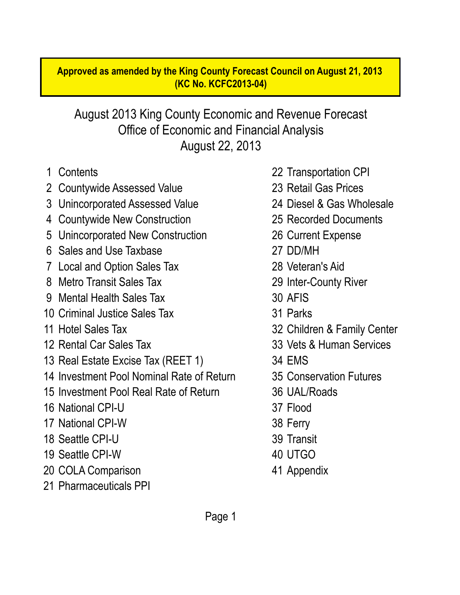#### **Approved as amended by the King County Forecast Council on August 21, 2013 (KC No. KCFC2013-04)**

#### August 22, 2013 Office of Economic and Financial Analysis August 2013 King County Economic and Revenue Forecast

- 
- 2 Countywide Assessed Value 23 Retail Gas Prices
- 3 Unincorporated Assessed Value 24 Diesel & Gas Wholesale
- 4 Countywide New Construction 25 Recorded Documents
- 5 Unincorporated New Construction 26 Current Expense
- 6 Sales and Use Taxbase 27 DD/MH
- 7 Local and Option Sales Tax 28 Veteran's Aid
- 8 Metro Transit Sales Tax 29 Inter-County River
- 9 Mental Health Sales Tax 30 AFIS
- 10 Criminal Justice Sales Tax 31 Parks
- 
- 
- 13 Real Estate Excise Tax (REET 1) 34 EMS
- 14 Investment Pool Nominal Rate of Return 35 Conservation Futures
- 15 Investment Pool Real Rate of Return 36 UAL/Roads
- 16 National CPI-U 37 Flood
- 17 National CPI-W 38 Ferry
- 18 Seattle CPI-U 39 Transit
- 19 Seattle CPI-W 40 UTGO
- 20 COLA Comparison 41 Appendix
- 21 Pharmaceuticals PPI
- 1 Contents 22 Transportation CPI
	-
	-
	-
	-
	-
	-
	-
	-
	-
- 11 Hotel Sales Tax 32 Children & Family Center
- 12 Rental Car Sales Tax 33 Vets & Human Services
	-
	-
	-
	-
	-
	-
	-
	-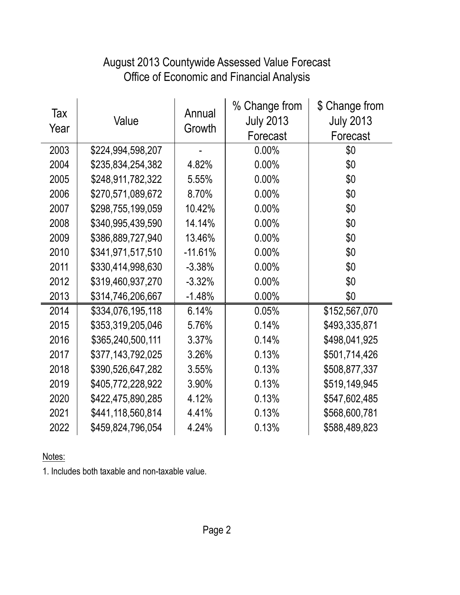### Office of Economic and Financial Analysis August 2013 Countywide Assessed Value Forecast

| Tax<br>Year | Value             | Annual<br>Growth | % Change from<br><b>July 2013</b><br>Forecast | \$ Change from<br><b>July 2013</b><br>Forecast |
|-------------|-------------------|------------------|-----------------------------------------------|------------------------------------------------|
| 2003        | \$224,994,598,207 |                  | 0.00%                                         | \$0                                            |
| 2004        | \$235,834,254,382 | 4.82%            | 0.00%                                         | \$0                                            |
| 2005        | \$248,911,782,322 | 5.55%            | 0.00%                                         | \$0                                            |
| 2006        | \$270,571,089,672 | 8.70%            | 0.00%                                         | \$0                                            |
| 2007        | \$298,755,199,059 | 10.42%           | 0.00%                                         | \$0                                            |
| 2008        | \$340,995,439,590 | 14.14%           | 0.00%                                         | \$0                                            |
| 2009        | \$386,889,727,940 | 13.46%           | 0.00%                                         | \$0                                            |
| 2010        | \$341,971,517,510 | $-11.61%$        | 0.00%                                         | \$0                                            |
| 2011        | \$330,414,998,630 | $-3.38%$         | 0.00%                                         | \$0                                            |
| 2012        | \$319,460,937,270 | $-3.32%$         | 0.00%                                         | \$0                                            |
| 2013        | \$314,746,206,667 | $-1.48%$         | 0.00%                                         | \$0                                            |
| 2014        | \$334,076,195,118 | 6.14%            | 0.05%                                         | \$152,567,070                                  |
| 2015        | \$353,319,205,046 | 5.76%            | 0.14%                                         | \$493,335,871                                  |
| 2016        | \$365,240,500,111 | 3.37%            | 0.14%                                         | \$498,041,925                                  |
| 2017        | \$377,143,792,025 | 3.26%            | 0.13%                                         | \$501,714,426                                  |
| 2018        | \$390,526,647,282 | 3.55%            | 0.13%                                         | \$508,877,337                                  |
| 2019        | \$405,772,228,922 | 3.90%            | 0.13%                                         | \$519,149,945                                  |
| 2020        | \$422,475,890,285 | 4.12%            | 0.13%                                         | \$547,602,485                                  |
| 2021        | \$441,118,560,814 | 4.41%            | 0.13%                                         | \$568,600,781                                  |
| 2022        | \$459,824,796,054 | 4.24%            | 0.13%                                         | \$588,489,823                                  |

Notes:

1. Includes both taxable and non-taxable value.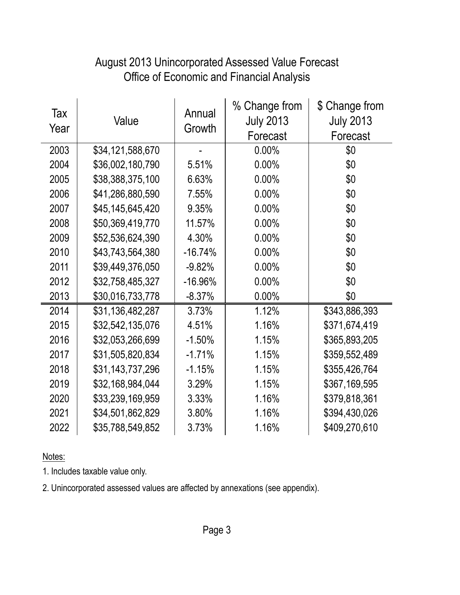#### Office of Economic and Financial Analysis August 2013 Unincorporated Assessed Value Forecast

| Tax<br>Year | Value            | Annual<br>Growth | % Change from<br><b>July 2013</b><br>Forecast | \$ Change from<br><b>July 2013</b><br>Forecast |
|-------------|------------------|------------------|-----------------------------------------------|------------------------------------------------|
| 2003        | \$34,121,588,670 |                  | 0.00%                                         | \$0                                            |
| 2004        | \$36,002,180,790 | 5.51%            | 0.00%                                         | \$0                                            |
| 2005        | \$38,388,375,100 | 6.63%            | 0.00%                                         | \$0                                            |
| 2006        | \$41,286,880,590 | 7.55%            | 0.00%                                         | \$0                                            |
| 2007        | \$45,145,645,420 | 9.35%            | 0.00%                                         | \$0                                            |
| 2008        | \$50,369,419,770 | 11.57%           | 0.00%                                         | \$0                                            |
| 2009        | \$52,536,624,390 | 4.30%            | 0.00%                                         | \$0                                            |
| 2010        | \$43,743,564,380 | $-16.74%$        | 0.00%                                         | \$0                                            |
| 2011        | \$39,449,376,050 | $-9.82%$         | 0.00%                                         | \$0                                            |
| 2012        | \$32,758,485,327 | $-16.96%$        | 0.00%                                         | \$0                                            |
| 2013        | \$30,016,733,778 | $-8.37%$         | 0.00%                                         | \$0                                            |
| 2014        | \$31,136,482,287 | 3.73%            | 1.12%                                         | \$343,886,393                                  |
| 2015        | \$32,542,135,076 | 4.51%            | 1.16%                                         | \$371,674,419                                  |
| 2016        | \$32,053,266,699 | $-1.50%$         | 1.15%                                         | \$365,893,205                                  |
| 2017        | \$31,505,820,834 | $-1.71%$         | 1.15%                                         | \$359,552,489                                  |
| 2018        | \$31,143,737,296 | $-1.15%$         | 1.15%                                         | \$355,426,764                                  |
| 2019        | \$32,168,984,044 | 3.29%            | 1.15%                                         | \$367,169,595                                  |
| 2020        | \$33,239,169,959 | 3.33%            | 1.16%                                         | \$379,818,361                                  |
| 2021        | \$34,501,862,829 | 3.80%            | 1.16%                                         | \$394,430,026                                  |
| 2022        | \$35,788,549,852 | 3.73%            | 1.16%                                         | \$409,270,610                                  |

Notes:

1. Includes taxable value only.

2. Unincorporated assessed values are affected by annexations (see appendix).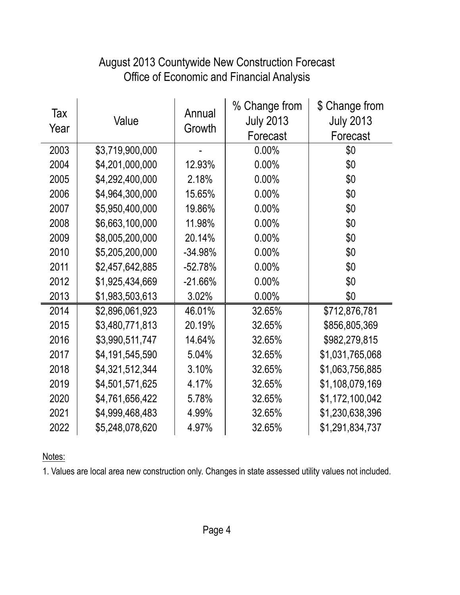#### August 2013 Countywide New Construction Forecast Office of Economic and Financial Analysis

| Tax<br>Year | Value           | Annual<br>Growth | % Change from<br><b>July 2013</b><br>Forecast | \$ Change from<br><b>July 2013</b><br>Forecast |
|-------------|-----------------|------------------|-----------------------------------------------|------------------------------------------------|
| 2003        | \$3,719,900,000 |                  | 0.00%                                         | \$0                                            |
| 2004        | \$4,201,000,000 | 12.93%           | 0.00%                                         | \$0                                            |
| 2005        | \$4,292,400,000 | 2.18%            | 0.00%                                         | \$0                                            |
| 2006        | \$4,964,300,000 | 15.65%           | 0.00%                                         | \$0                                            |
| 2007        | \$5,950,400,000 | 19.86%           | 0.00%                                         | \$0                                            |
| 2008        | \$6,663,100,000 | 11.98%           | 0.00%                                         | \$0                                            |
| 2009        | \$8,005,200,000 | 20.14%           | 0.00%                                         | \$0                                            |
| 2010        | \$5,205,200,000 | $-34.98%$        | 0.00%                                         | \$0                                            |
| 2011        | \$2,457,642,885 | $-52.78%$        | 0.00%                                         | \$0                                            |
| 2012        | \$1,925,434,669 | $-21.66%$        | 0.00%                                         | \$0                                            |
| 2013        | \$1,983,503,613 | 3.02%            | 0.00%                                         | \$0                                            |
| 2014        | \$2,896,061,923 | 46.01%           | 32.65%                                        | \$712,876,781                                  |
| 2015        | \$3,480,771,813 | 20.19%           | 32.65%                                        | \$856,805,369                                  |
| 2016        | \$3,990,511,747 | 14.64%           | 32.65%                                        | \$982,279,815                                  |
| 2017        | \$4,191,545,590 | 5.04%            | 32.65%                                        | \$1,031,765,068                                |
| 2018        | \$4,321,512,344 | 3.10%            | 32.65%                                        | \$1,063,756,885                                |
| 2019        | \$4,501,571,625 | 4.17%            | 32.65%                                        | \$1,108,079,169                                |
| 2020        | \$4,761,656,422 | 5.78%            | 32.65%                                        | \$1,172,100,042                                |
| 2021        | \$4,999,468,483 | 4.99%            | 32.65%                                        | \$1,230,638,396                                |
| 2022        | \$5,248,078,620 | 4.97%            | 32.65%                                        | \$1,291,834,737                                |

Notes:

1. Values are local area new construction only. Changes in state assessed utility values not included.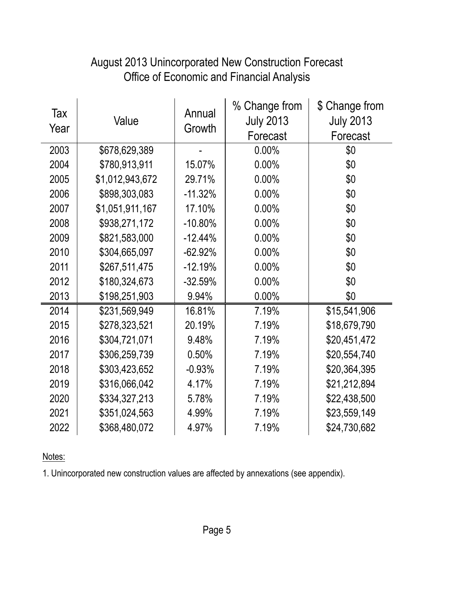| Tax<br>Year | Value           | Annual<br>Growth | % Change from<br><b>July 2013</b><br>Forecast | \$ Change from<br><b>July 2013</b><br>Forecast |
|-------------|-----------------|------------------|-----------------------------------------------|------------------------------------------------|
| 2003        | \$678,629,389   |                  | 0.00%                                         | \$0                                            |
| 2004        | \$780,913,911   | 15.07%           | 0.00%                                         | \$0                                            |
| 2005        | \$1,012,943,672 | 29.71%           | 0.00%                                         | \$0                                            |
| 2006        | \$898,303,083   | $-11.32%$        | 0.00%                                         | \$0                                            |
| 2007        | \$1,051,911,167 | 17.10%           | 0.00%                                         | \$0                                            |
| 2008        | \$938,271,172   | $-10.80\%$       | 0.00%                                         | \$0                                            |
| 2009        | \$821,583,000   | $-12.44%$        | 0.00%                                         | \$0                                            |
| 2010        | \$304,665,097   | $-62.92%$        | 0.00%                                         | \$0                                            |
| 2011        | \$267,511,475   | $-12.19%$        | 0.00%                                         | \$0                                            |
| 2012        | \$180,324,673   | $-32.59%$        | 0.00%                                         | \$0                                            |
| 2013        | \$198,251,903   | 9.94%            | 0.00%                                         | \$0                                            |
| 2014        | \$231,569,949   | 16.81%           | 7.19%                                         | \$15,541,906                                   |
| 2015        | \$278,323,521   | 20.19%           | 7.19%                                         | \$18,679,790                                   |
| 2016        | \$304,721,071   | 9.48%            | 7.19%                                         | \$20,451,472                                   |
| 2017        | \$306,259,739   | 0.50%            | 7.19%                                         | \$20,554,740                                   |
| 2018        | \$303,423,652   | $-0.93%$         | 7.19%                                         | \$20,364,395                                   |
| 2019        | \$316,066,042   | 4.17%            | 7.19%                                         | \$21,212,894                                   |
| 2020        | \$334,327,213   | 5.78%            | 7.19%                                         | \$22,438,500                                   |
| 2021        | \$351,024,563   | 4.99%            | 7.19%                                         | \$23,559,149                                   |
| 2022        | \$368,480,072   | 4.97%            | 7.19%                                         | \$24,730,682                                   |

#### Office of Economic and Financial Analysis August 2013 Unincorporated New Construction Forecast

Notes:

1. Unincorporated new construction values are affected by annexations (see appendix).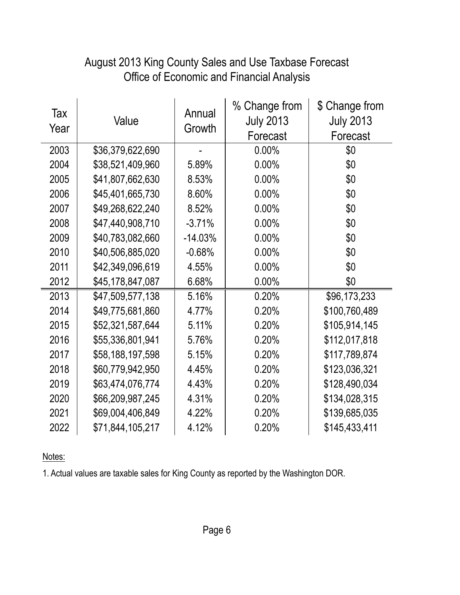#### Office of Economic and Financial Analysis August 2013 King County Sales and Use Taxbase Forecast

| Tax<br>Year | Value            | Annual<br>Growth | % Change from<br><b>July 2013</b><br>Forecast | \$ Change from<br><b>July 2013</b><br>Forecast |
|-------------|------------------|------------------|-----------------------------------------------|------------------------------------------------|
| 2003        | \$36,379,622,690 |                  | 0.00%                                         | \$0                                            |
| 2004        | \$38,521,409,960 | 5.89%            | 0.00%                                         | \$0                                            |
| 2005        | \$41,807,662,630 | 8.53%            | 0.00%                                         | \$0                                            |
| 2006        | \$45,401,665,730 | 8.60%            | 0.00%                                         | \$0                                            |
| 2007        | \$49,268,622,240 | 8.52%            | 0.00%                                         | \$0                                            |
| 2008        | \$47,440,908,710 | $-3.71%$         | 0.00%                                         | \$0                                            |
| 2009        | \$40,783,082,660 | $-14.03%$        | 0.00%                                         | \$0                                            |
| 2010        | \$40,506,885,020 | $-0.68%$         | 0.00%                                         | \$0                                            |
| 2011        | \$42,349,096,619 | 4.55%            | 0.00%                                         | \$0                                            |
| 2012        | \$45,178,847,087 | 6.68%            | 0.00%                                         | \$0                                            |
| 2013        | \$47,509,577,138 | 5.16%            | 0.20%                                         | \$96,173,233                                   |
| 2014        | \$49,775,681,860 | 4.77%            | 0.20%                                         | \$100,760,489                                  |
| 2015        | \$52,321,587,644 | 5.11%            | 0.20%                                         | \$105,914,145                                  |
| 2016        | \$55,336,801,941 | 5.76%            | 0.20%                                         | \$112,017,818                                  |
| 2017        | \$58,188,197,598 | 5.15%            | 0.20%                                         | \$117,789,874                                  |
| 2018        | \$60,779,942,950 | 4.45%            | 0.20%                                         | \$123,036,321                                  |
| 2019        | \$63,474,076,774 | 4.43%            | 0.20%                                         | \$128,490,034                                  |
| 2020        | \$66,209,987,245 | 4.31%            | 0.20%                                         | \$134,028,315                                  |
| 2021        | \$69,004,406,849 | 4.22%            | 0.20%                                         | \$139,685,035                                  |
| 2022        | \$71,844,105,217 | 4.12%            | 0.20%                                         | \$145,433,411                                  |

Notes:

1. Actual values are taxable sales for King County as reported by the Washington DOR.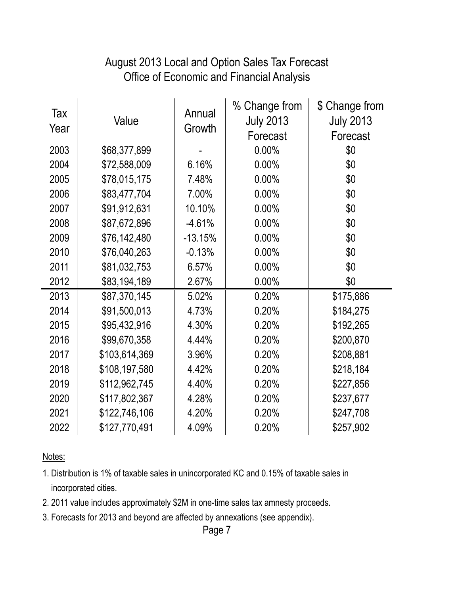#### Office of Economic and Financial Analysis August 2013 Local and Option Sales Tax Forecast

| Tax<br>Year | Value         | Annual<br>Growth | % Change from<br><b>July 2013</b><br>Forecast | \$ Change from<br><b>July 2013</b><br>Forecast |
|-------------|---------------|------------------|-----------------------------------------------|------------------------------------------------|
| 2003        | \$68,377,899  |                  | $0.00\%$                                      | \$0                                            |
| 2004        | \$72,588,009  | 6.16%            | 0.00%                                         | \$0                                            |
| 2005        | \$78,015,175  | 7.48%            | 0.00%                                         | \$0                                            |
| 2006        | \$83,477,704  | 7.00%            | 0.00%                                         | \$0                                            |
| 2007        | \$91,912,631  | 10.10%           | 0.00%                                         | \$0                                            |
| 2008        | \$87,672,896  | $-4.61%$         | 0.00%                                         | \$0                                            |
| 2009        | \$76,142,480  | $-13.15%$        | 0.00%                                         | \$0                                            |
| 2010        | \$76,040,263  | $-0.13%$         | 0.00%                                         | \$0                                            |
| 2011        | \$81,032,753  | 6.57%            | 0.00%                                         | \$0                                            |
| 2012        | \$83,194,189  | 2.67%            | 0.00%                                         | \$0                                            |
| 2013        | \$87,370,145  | 5.02%            | 0.20%                                         | \$175,886                                      |
| 2014        | \$91,500,013  | 4.73%            | 0.20%                                         | \$184,275                                      |
| 2015        | \$95,432,916  | 4.30%            | 0.20%                                         | \$192,265                                      |
| 2016        | \$99,670,358  | 4.44%            | 0.20%                                         | \$200,870                                      |
| 2017        | \$103,614,369 | 3.96%            | 0.20%                                         | \$208,881                                      |
| 2018        | \$108,197,580 | 4.42%            | 0.20%                                         | \$218,184                                      |
| 2019        | \$112,962,745 | 4.40%            | 0.20%                                         | \$227,856                                      |
| 2020        | \$117,802,367 | 4.28%            | 0.20%                                         | \$237,677                                      |
| 2021        | \$122,746,106 | 4.20%            | 0.20%                                         | \$247,708                                      |
| 2022        | \$127,770,491 | 4.09%            | 0.20%                                         | \$257,902                                      |

Notes:

- 1. Distribution is 1% of taxable sales in unincorporated KC and 0.15% of taxable sales in incorporated cities.
- 2. 2011 value includes approximately \$2M in one-time sales tax amnesty proceeds.
- 3. Forecasts for 2013 and beyond are affected by annexations (see appendix).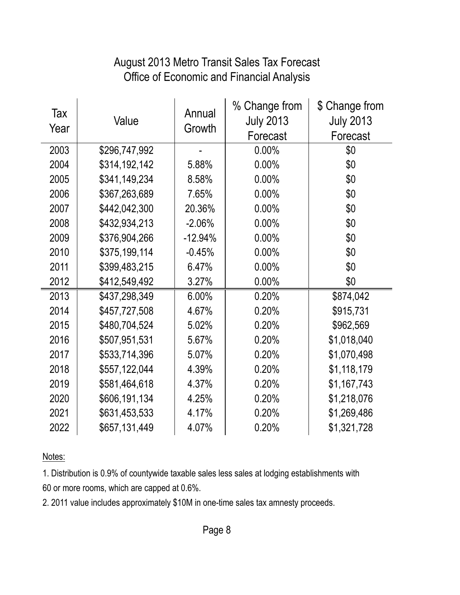#### August 2013 Metro Transit Sales Tax Forecast Office of Economic and Financial Analysis

| Tax<br>Year | Value         | Annual<br>Growth | % Change from<br><b>July 2013</b><br>Forecast | \$ Change from<br><b>July 2013</b><br>Forecast |
|-------------|---------------|------------------|-----------------------------------------------|------------------------------------------------|
| 2003        | \$296,747,992 |                  | 0.00%                                         | \$0                                            |
| 2004        | \$314,192,142 | 5.88%            | 0.00%                                         | \$0                                            |
| 2005        | \$341,149,234 | 8.58%            | 0.00%                                         | \$0                                            |
| 2006        | \$367,263,689 | 7.65%            | 0.00%                                         | \$0                                            |
| 2007        | \$442,042,300 | 20.36%           | 0.00%                                         | \$0                                            |
| 2008        | \$432,934,213 | $-2.06%$         | 0.00%                                         | \$0                                            |
| 2009        | \$376,904,266 | $-12.94%$        | 0.00%                                         | \$0                                            |
| 2010        | \$375,199,114 | $-0.45%$         | 0.00%                                         | \$0                                            |
| 2011        | \$399,483,215 | 6.47%            | 0.00%                                         | \$0                                            |
| 2012        | \$412,549,492 | 3.27%            | 0.00%                                         | \$0                                            |
| 2013        | \$437,298,349 | 6.00%            | 0.20%                                         | \$874,042                                      |
| 2014        | \$457,727,508 | 4.67%            | 0.20%                                         | \$915,731                                      |
| 2015        | \$480,704,524 | 5.02%            | 0.20%                                         | \$962,569                                      |
| 2016        | \$507,951,531 | 5.67%            | 0.20%                                         | \$1,018,040                                    |
| 2017        | \$533,714,396 | 5.07%            | 0.20%                                         | \$1,070,498                                    |
| 2018        | \$557,122,044 | 4.39%            | 0.20%                                         | \$1,118,179                                    |
| 2019        | \$581,464,618 | 4.37%            | 0.20%                                         | \$1,167,743                                    |
| 2020        | \$606,191,134 | 4.25%            | 0.20%                                         | \$1,218,076                                    |
| 2021        | \$631,453,533 | 4.17%            | 0.20%                                         | \$1,269,486                                    |
| 2022        | \$657,131,449 | 4.07%            | 0.20%                                         | \$1,321,728                                    |

Notes:

1. Distribution is 0.9% of countywide taxable sales less sales at lodging establishments with 60 or more rooms, which are capped at 0.6%.

2. 2011 value includes approximately \$10M in one-time sales tax amnesty proceeds.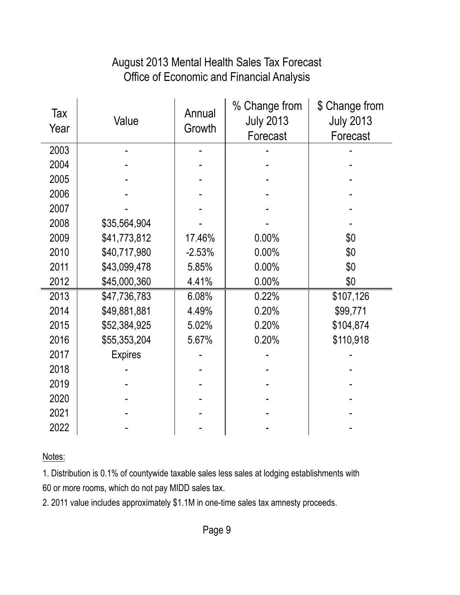#### August 2013 Mental Health Sales Tax Forecast Office of Economic and Financial Analysis

| Tax<br>Year | Value          | Annual<br>Growth | % Change from<br><b>July 2013</b><br>Forecast | \$ Change from<br><b>July 2013</b><br>Forecast |
|-------------|----------------|------------------|-----------------------------------------------|------------------------------------------------|
| 2003        |                |                  |                                               |                                                |
| 2004        |                |                  |                                               |                                                |
| 2005        |                |                  |                                               |                                                |
| 2006        |                |                  |                                               |                                                |
| 2007        |                |                  |                                               |                                                |
| 2008        | \$35,564,904   |                  |                                               |                                                |
| 2009        | \$41,773,812   | 17.46%           | 0.00%                                         | \$0                                            |
| 2010        | \$40,717,980   | $-2.53%$         | 0.00%                                         | \$0                                            |
| 2011        | \$43,099,478   | 5.85%            | 0.00%                                         | \$0                                            |
| 2012        | \$45,000,360   | 4.41%            | 0.00%                                         | \$0                                            |
| 2013        | \$47,736,783   | 6.08%            | 0.22%                                         | \$107,126                                      |
| 2014        | \$49,881,881   | 4.49%            | 0.20%                                         | \$99,771                                       |
| 2015        | \$52,384,925   | 5.02%            | 0.20%                                         | \$104,874                                      |
| 2016        | \$55,353,204   | 5.67%            | 0.20%                                         | \$110,918                                      |
| 2017        | <b>Expires</b> |                  |                                               |                                                |
| 2018        |                |                  |                                               |                                                |
| 2019        |                |                  |                                               |                                                |
| 2020        |                |                  |                                               |                                                |
| 2021        |                |                  |                                               |                                                |
| 2022        |                |                  |                                               |                                                |

Notes:

1. Distribution is 0.1% of countywide taxable sales less sales at lodging establishments with 60 or more rooms, which do not pay MIDD sales tax.

2. 2011 value includes approximately \$1.1M in one-time sales tax amnesty proceeds.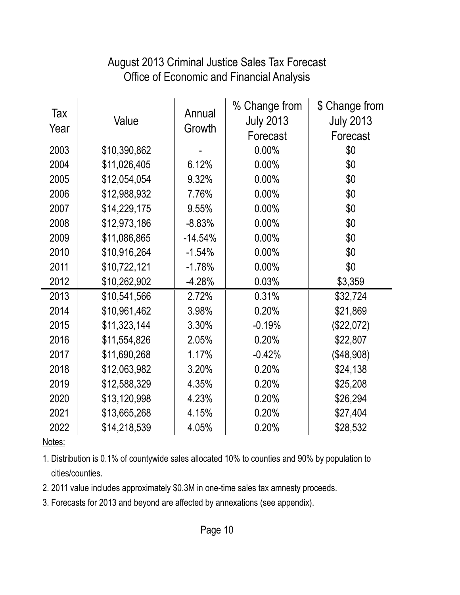#### August 2013 Criminal Justice Sales Tax Forecast Office of Economic and Financial Analysis

| Tax<br>Year | Value        | Annual<br>Growth | % Change from<br><b>July 2013</b><br>Forecast | \$ Change from<br><b>July 2013</b><br>Forecast |
|-------------|--------------|------------------|-----------------------------------------------|------------------------------------------------|
| 2003        | \$10,390,862 |                  | 0.00%                                         | \$0                                            |
| 2004        | \$11,026,405 | 6.12%            | 0.00%                                         | \$0                                            |
| 2005        | \$12,054,054 | 9.32%            | 0.00%                                         | \$0                                            |
| 2006        | \$12,988,932 | 7.76%            | 0.00%                                         | \$0                                            |
| 2007        | \$14,229,175 | 9.55%            | 0.00%                                         | \$0                                            |
| 2008        | \$12,973,186 | $-8.83%$         | 0.00%                                         | \$0                                            |
| 2009        | \$11,086,865 | $-14.54%$        | 0.00%                                         | \$0                                            |
| 2010        | \$10,916,264 | $-1.54%$         | 0.00%                                         | \$0                                            |
| 2011        | \$10,722,121 | $-1.78%$         | 0.00%                                         | \$0                                            |
| 2012        | \$10,262,902 | $-4.28%$         | 0.03%                                         | \$3,359                                        |
| 2013        | \$10,541,566 | 2.72%            | 0.31%                                         | \$32,724                                       |
| 2014        | \$10,961,462 | 3.98%            | 0.20%                                         | \$21,869                                       |
| 2015        | \$11,323,144 | 3.30%            | $-0.19%$                                      | (\$22,072)                                     |
| 2016        | \$11,554,826 | 2.05%            | 0.20%                                         | \$22,807                                       |
| 2017        | \$11,690,268 | 1.17%            | $-0.42%$                                      | (\$48,908)                                     |
| 2018        | \$12,063,982 | 3.20%            | 0.20%                                         | \$24,138                                       |
| 2019        | \$12,588,329 | 4.35%            | 0.20%                                         | \$25,208                                       |
| 2020        | \$13,120,998 | 4.23%            | 0.20%                                         | \$26,294                                       |
| 2021        | \$13,665,268 | 4.15%            | 0.20%                                         | \$27,404                                       |
| 2022        | \$14,218,539 | 4.05%            | 0.20%                                         | \$28,532                                       |

Notes:

1. Distribution is 0.1% of countywide sales allocated 10% to counties and 90% by population to cities/counties.

2. 2011 value includes approximately \$0.3M in one-time sales tax amnesty proceeds.

3. Forecasts for 2013 and beyond are affected by annexations (see appendix).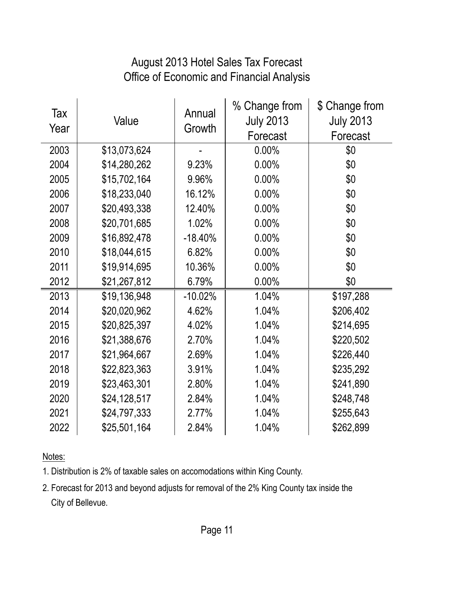#### August 2013 Hotel Sales Tax Forecast Office of Economic and Financial Analysis

| Tax<br>Year | Value        | Annual<br>Growth | % Change from<br><b>July 2013</b><br>Forecast | \$ Change from<br><b>July 2013</b><br>Forecast |
|-------------|--------------|------------------|-----------------------------------------------|------------------------------------------------|
| 2003        | \$13,073,624 |                  | $0.00\%$                                      | \$0                                            |
| 2004        | \$14,280,262 | 9.23%            | 0.00%                                         | \$0                                            |
| 2005        | \$15,702,164 | 9.96%            | 0.00%                                         | \$0                                            |
| 2006        | \$18,233,040 | 16.12%           | 0.00%                                         | \$0                                            |
| 2007        | \$20,493,338 | 12.40%           | 0.00%                                         | \$0                                            |
| 2008        | \$20,701,685 | 1.02%            | 0.00%                                         | \$0                                            |
| 2009        | \$16,892,478 | $-18.40%$        | 0.00%                                         | \$0                                            |
| 2010        | \$18,044,615 | 6.82%            | 0.00%                                         | \$0                                            |
| 2011        | \$19,914,695 | 10.36%           | 0.00%                                         | \$0                                            |
| 2012        | \$21,267,812 | 6.79%            | 0.00%                                         | \$0                                            |
| 2013        | \$19,136,948 | $-10.02%$        | 1.04%                                         | \$197,288                                      |
| 2014        | \$20,020,962 | 4.62%            | 1.04%                                         | \$206,402                                      |
| 2015        | \$20,825,397 | 4.02%            | 1.04%                                         | \$214,695                                      |
| 2016        | \$21,388,676 | 2.70%            | 1.04%                                         | \$220,502                                      |
| 2017        | \$21,964,667 | 2.69%            | 1.04%                                         | \$226,440                                      |
| 2018        | \$22,823,363 | 3.91%            | 1.04%                                         | \$235,292                                      |
| 2019        | \$23,463,301 | 2.80%            | 1.04%                                         | \$241,890                                      |
| 2020        | \$24,128,517 | 2.84%            | 1.04%                                         | \$248,748                                      |
| 2021        | \$24,797,333 | 2.77%            | 1.04%                                         | \$255,643                                      |
| 2022        | \$25,501,164 | 2.84%            | 1.04%                                         | \$262,899                                      |

Notes:

1. Distribution is 2% of taxable sales on accomodations within King County.

2. Forecast for 2013 and beyond adjusts for removal of the 2% King County tax inside the City of Bellevue.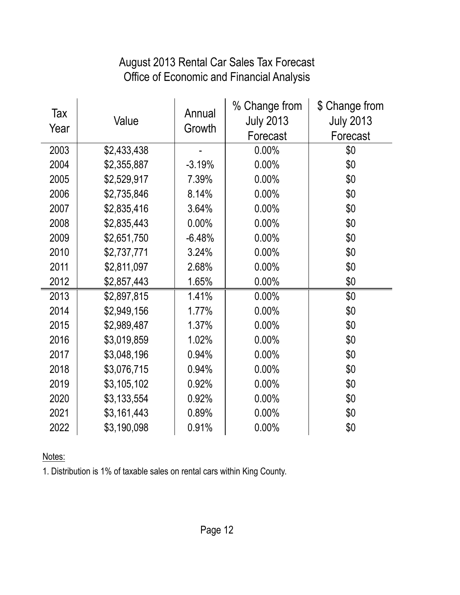#### August 2013 Rental Car Sales Tax Forecast Office of Economic and Financial Analysis

| Tax<br>Year | Value       | Annual<br>Growth | % Change from<br><b>July 2013</b><br>Forecast | \$ Change from<br><b>July 2013</b><br>Forecast |
|-------------|-------------|------------------|-----------------------------------------------|------------------------------------------------|
| 2003        | \$2,433,438 |                  | 0.00%                                         | \$0                                            |
| 2004        | \$2,355,887 | $-3.19%$         | 0.00%                                         | \$0                                            |
| 2005        | \$2,529,917 | 7.39%            | 0.00%                                         | \$0                                            |
| 2006        | \$2,735,846 | 8.14%            | 0.00%                                         | \$0                                            |
| 2007        | \$2,835,416 | 3.64%            | 0.00%                                         | \$0                                            |
| 2008        | \$2,835,443 | $0.00\%$         | 0.00%                                         | \$0                                            |
| 2009        | \$2,651,750 | $-6.48%$         | 0.00%                                         | \$0                                            |
| 2010        | \$2,737,771 | 3.24%            | 0.00%                                         | \$0                                            |
| 2011        | \$2,811,097 | 2.68%            | 0.00%                                         | \$0                                            |
| 2012        | \$2,857,443 | 1.65%            | 0.00%                                         | \$0                                            |
| 2013        | \$2,897,815 | 1.41%            | 0.00%                                         | \$0                                            |
| 2014        | \$2,949,156 | 1.77%            | 0.00%                                         | \$0                                            |
| 2015        | \$2,989,487 | 1.37%            | 0.00%                                         | \$0                                            |
| 2016        | \$3,019,859 | 1.02%            | 0.00%                                         | \$0                                            |
| 2017        | \$3,048,196 | 0.94%            | 0.00%                                         | \$0                                            |
| 2018        | \$3,076,715 | 0.94%            | 0.00%                                         | \$0                                            |
| 2019        | \$3,105,102 | 0.92%            | 0.00%                                         | \$0                                            |
| 2020        | \$3,133,554 | 0.92%            | 0.00%                                         | \$0                                            |
| 2021        | \$3,161,443 | 0.89%            | 0.00%                                         | \$0                                            |
| 2022        | \$3,190,098 | 0.91%            | 0.00%                                         | \$0                                            |

Notes:

1. Distribution is 1% of taxable sales on rental cars within King County.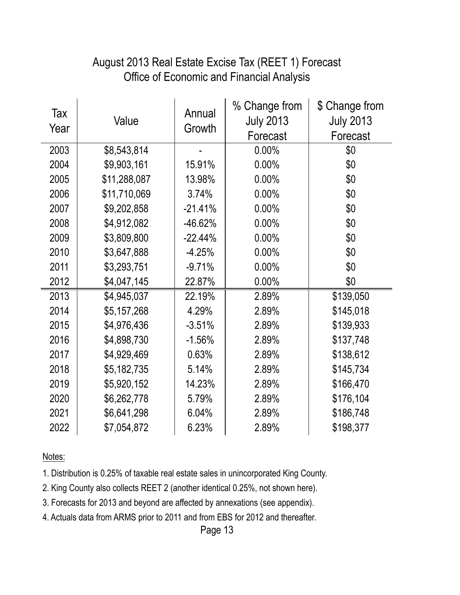#### Office of Economic and Financial Analysis August 2013 Real Estate Excise Tax (REET 1) Forecast

| Tax<br>Year | Value        | Annual<br>Growth | % Change from<br><b>July 2013</b><br>Forecast | \$ Change from<br><b>July 2013</b><br>Forecast |
|-------------|--------------|------------------|-----------------------------------------------|------------------------------------------------|
| 2003        | \$8,543,814  |                  | 0.00%                                         | \$0                                            |
| 2004        | \$9,903,161  | 15.91%           | 0.00%                                         | \$0                                            |
| 2005        | \$11,288,087 | 13.98%           | 0.00%                                         | \$0                                            |
| 2006        | \$11,710,069 | 3.74%            | 0.00%                                         | \$0                                            |
| 2007        | \$9,202,858  | $-21.41%$        | 0.00%                                         | \$0                                            |
| 2008        | \$4,912,082  | -46.62%          | 0.00%                                         | \$0                                            |
| 2009        | \$3,809,800  | $-22.44%$        | 0.00%                                         | \$0                                            |
| 2010        | \$3,647,888  | $-4.25%$         | 0.00%                                         | \$0                                            |
| 2011        | \$3,293,751  | $-9.71%$         | 0.00%                                         | \$0                                            |
| 2012        | \$4,047,145  | 22.87%           | 0.00%                                         | \$0                                            |
| 2013        | \$4,945,037  | 22.19%           | 2.89%                                         | \$139,050                                      |
| 2014        | \$5,157,268  | 4.29%            | 2.89%                                         | \$145,018                                      |
| 2015        | \$4,976,436  | $-3.51%$         | 2.89%                                         | \$139,933                                      |
| 2016        | \$4,898,730  | $-1.56%$         | 2.89%                                         | \$137,748                                      |
| 2017        | \$4,929,469  | 0.63%            | 2.89%                                         | \$138,612                                      |
| 2018        | \$5,182,735  | 5.14%            | 2.89%                                         | \$145,734                                      |
| 2019        | \$5,920,152  | 14.23%           | 2.89%                                         | \$166,470                                      |
| 2020        | \$6,262,778  | 5.79%            | 2.89%                                         | \$176,104                                      |
| 2021        | \$6,641,298  | 6.04%            | 2.89%                                         | \$186,748                                      |
| 2022        | \$7,054,872  | 6.23%            | 2.89%                                         | \$198,377                                      |

Notes:

1. Distribution is 0.25% of taxable real estate sales in unincorporated King County.

2. King County also collects REET 2 (another identical 0.25%, not shown here).

3. Forecasts for 2013 and beyond are affected by annexations (see appendix).

4. Actuals data from ARMS prior to 2011 and from EBS for 2012 and thereafter.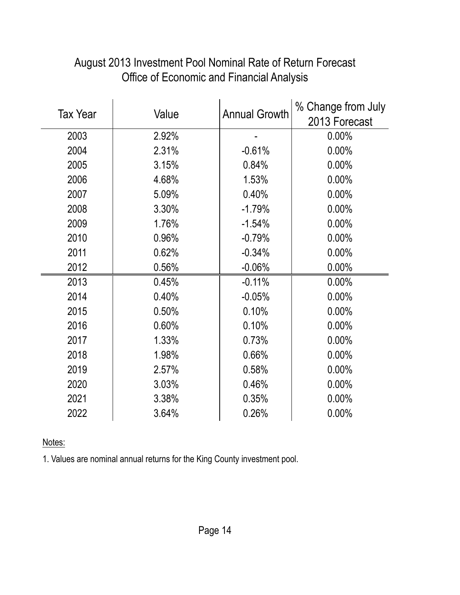| <b>Tax Year</b> |       |                      | % Change from July |
|-----------------|-------|----------------------|--------------------|
|                 | Value | <b>Annual Growth</b> | 2013 Forecast      |
| 2003            | 2.92% |                      | 0.00%              |
| 2004            | 2.31% | $-0.61%$             | 0.00%              |
| 2005            | 3.15% | 0.84%                | 0.00%              |
| 2006            | 4.68% | 1.53%                | 0.00%              |
| 2007            | 5.09% | 0.40%                | 0.00%              |
| 2008            | 3.30% | $-1.79%$             | 0.00%              |
| 2009            | 1.76% | $-1.54%$             | 0.00%              |
| 2010            | 0.96% | $-0.79%$             | 0.00%              |
| 2011            | 0.62% | $-0.34%$             | 0.00%              |
| 2012            | 0.56% | $-0.06%$             | 0.00%              |
| 2013            | 0.45% | $-0.11%$             | 0.00%              |
| 2014            | 0.40% | $-0.05%$             | 0.00%              |
| 2015            | 0.50% | 0.10%                | 0.00%              |
| 2016            | 0.60% | 0.10%                | 0.00%              |
| 2017            | 1.33% | 0.73%                | 0.00%              |
| 2018            | 1.98% | 0.66%                | 0.00%              |
| 2019            | 2.57% | 0.58%                | 0.00%              |
| 2020            | 3.03% | 0.46%                | 0.00%              |
| 2021            | 3.38% | 0.35%                | 0.00%              |
| 2022            | 3.64% | 0.26%                | 0.00%              |

#### August 2013 Investment Pool Nominal Rate of Return Forecast Office of Economic and Financial Analysis

Notes:

1. Values are nominal annual returns for the King County investment pool.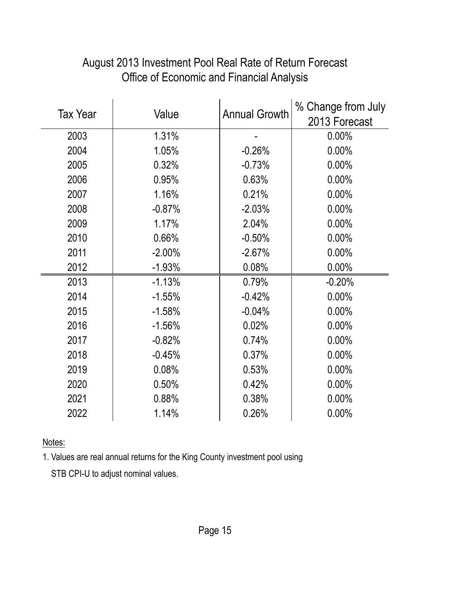|                 |           | <b>Annual Growth</b> | % Change from July |
|-----------------|-----------|----------------------|--------------------|
| <b>Tax Year</b> | Value     |                      | 2013 Forecast      |
| 2003            | 1.31%     |                      | 0.00%              |
| 2004            | 1.05%     | $-0.26%$             | 0.00%              |
| 2005            | 0.32%     | $-0.73%$             | 0.00%              |
| 2006            | 0.95%     | 0.63%                | 0.00%              |
| 2007            | 1.16%     | 0.21%                | 0.00%              |
| 2008            | $-0.87%$  | $-2.03%$             | 0.00%              |
| 2009            | 1.17%     | 2.04%                | 0.00%              |
| 2010            | 0.66%     | $-0.50%$             | 0.00%              |
| 2011            | $-2.00\%$ | $-2.67%$             | 0.00%              |
| 2012            | $-1.93%$  | 0.08%                | 0.00%              |
| 2013            | $-1.13%$  | 0.79%                | $-0.20%$           |
| 2014            | $-1.55%$  | $-0.42%$             | 0.00%              |
| 2015            | $-1.58%$  | $-0.04%$             | 0.00%              |
| 2016            | $-1.56%$  | 0.02%                | 0.00%              |
| 2017            | $-0.82%$  | 0.74%                | 0.00%              |
| 2018            | $-0.45%$  | 0.37%                | 0.00%              |
| 2019            | 0.08%     | 0.53%                | 0.00%              |
| 2020            | 0.50%     | 0.42%                | 0.00%              |
| 2021            | 0.88%     | 0.38%                | 0.00%              |
| 2022            | 1.14%     | 0.26%                | 0.00%              |

#### August 2013 Investment Pool Real Rate of Return Forecast Office of Economic and Financial Analysis

Notes:

1. Values are real annual returns for the King County investment pool using

STB CPI-U to adjust nominal values.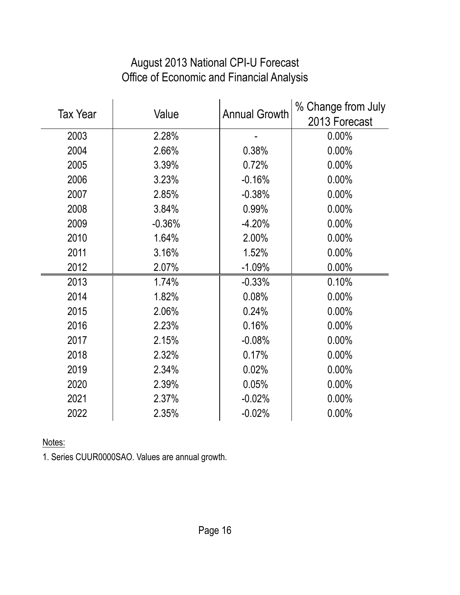# August 2013 National CPI-U Forecast Office of Economic and Financial Analysis

|                 |          |                      | % Change from July |
|-----------------|----------|----------------------|--------------------|
| <b>Tax Year</b> | Value    | <b>Annual Growth</b> | 2013 Forecast      |
| 2003            | 2.28%    |                      | $0.00\%$           |
| 2004            | 2.66%    | 0.38%                | 0.00%              |
| 2005            | 3.39%    | 0.72%                | 0.00%              |
| 2006            | 3.23%    | $-0.16%$             | 0.00%              |
| 2007            | 2.85%    | $-0.38%$             | 0.00%              |
| 2008            | 3.84%    | 0.99%                | 0.00%              |
| 2009            | $-0.36%$ | $-4.20%$             | 0.00%              |
| 2010            | 1.64%    | 2.00%                | 0.00%              |
| 2011            | 3.16%    | 1.52%                | 0.00%              |
| 2012            | 2.07%    | $-1.09%$             | 0.00%              |
| 2013            | 1.74%    | $-0.33%$             | 0.10%              |
| 2014            | 1.82%    | 0.08%                | 0.00%              |
| 2015            | 2.06%    | 0.24%                | 0.00%              |
| 2016            | 2.23%    | 0.16%                | 0.00%              |
| 2017            | 2.15%    | $-0.08%$             | 0.00%              |
| 2018            | 2.32%    | 0.17%                | 0.00%              |
| 2019            | 2.34%    | 0.02%                | 0.00%              |
| 2020            | 2.39%    | 0.05%                | 0.00%              |
| 2021            | 2.37%    | $-0.02%$             | 0.00%              |
| 2022            | 2.35%    | $-0.02%$             | 0.00%              |

Notes:

1. Series CUUR0000SAO. Values are annual growth.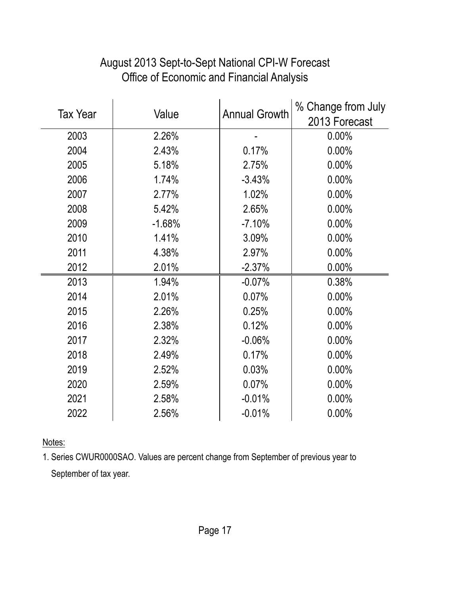| <b>Tax Year</b> |          |                      | % Change from July |
|-----------------|----------|----------------------|--------------------|
|                 | Value    | <b>Annual Growth</b> | 2013 Forecast      |
| 2003            | 2.26%    |                      | 0.00%              |
| 2004            | 2.43%    | 0.17%                | 0.00%              |
| 2005            | 5.18%    | 2.75%                | 0.00%              |
| 2006            | 1.74%    | $-3.43%$             | 0.00%              |
| 2007            | 2.77%    | 1.02%                | 0.00%              |
| 2008            | 5.42%    | 2.65%                | 0.00%              |
| 2009            | $-1.68%$ | $-7.10%$             | 0.00%              |
| 2010            | 1.41%    | 3.09%                | 0.00%              |
| 2011            | 4.38%    | 2.97%                | 0.00%              |
| 2012            | 2.01%    | $-2.37%$             | 0.00%              |
| 2013            | 1.94%    | $-0.07%$             | 0.38%              |
| 2014            | 2.01%    | 0.07%                | 0.00%              |
| 2015            | 2.26%    | 0.25%                | 0.00%              |
| 2016            | 2.38%    | 0.12%                | 0.00%              |
| 2017            | 2.32%    | $-0.06%$             | 0.00%              |
| 2018            | 2.49%    | 0.17%                | 0.00%              |
| 2019            | 2.52%    | 0.03%                | 0.00%              |
| 2020            | 2.59%    | 0.07%                | 0.00%              |
| 2021            | 2.58%    | $-0.01%$             | 0.00%              |
| 2022            | 2.56%    | $-0.01%$             | 0.00%              |

# August 2013 Sept-to-Sept National CPI-W Forecast Office of Economic and Financial Analysis

Notes:

1. Series CWUR0000SAO. Values are percent change from September of previous year to September of tax year.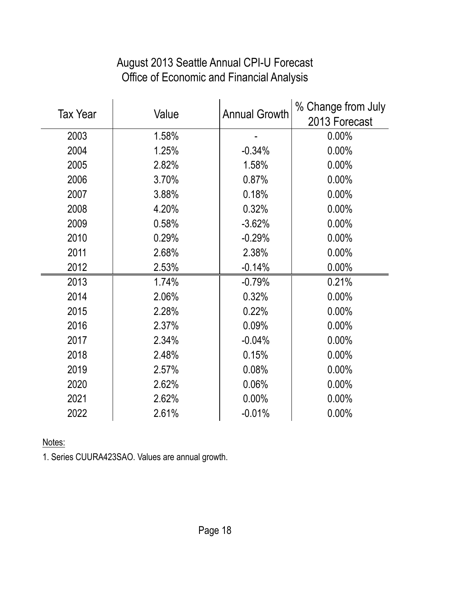#### August 2013 Seattle Annual CPI-U Forecast Office of Economic and Financial Analysis

|                 |       | <b>Annual Growth</b> | % Change from July |
|-----------------|-------|----------------------|--------------------|
| <b>Tax Year</b> | Value |                      | 2013 Forecast      |
| 2003            | 1.58% |                      | 0.00%              |
| 2004            | 1.25% | $-0.34%$             | 0.00%              |
| 2005            | 2.82% | 1.58%                | 0.00%              |
| 2006            | 3.70% | 0.87%                | 0.00%              |
| 2007            | 3.88% | 0.18%                | 0.00%              |
| 2008            | 4.20% | 0.32%                | 0.00%              |
| 2009            | 0.58% | $-3.62%$             | 0.00%              |
| 2010            | 0.29% | $-0.29%$             | 0.00%              |
| 2011            | 2.68% | 2.38%                | 0.00%              |
| 2012            | 2.53% | $-0.14%$             | 0.00%              |
| 2013            | 1.74% | $-0.79%$             | 0.21%              |
| 2014            | 2.06% | 0.32%                | 0.00%              |
| 2015            | 2.28% | 0.22%                | 0.00%              |
| 2016            | 2.37% | 0.09%                | 0.00%              |
| 2017            | 2.34% | $-0.04%$             | 0.00%              |
| 2018            | 2.48% | 0.15%                | 0.00%              |
| 2019            | 2.57% | 0.08%                | 0.00%              |
| 2020            | 2.62% | 0.06%                | 0.00%              |
| 2021            | 2.62% | 0.00%                | 0.00%              |
| 2022            | 2.61% | $-0.01%$             | 0.00%              |

Notes:

1. Series CUURA423SAO. Values are annual growth.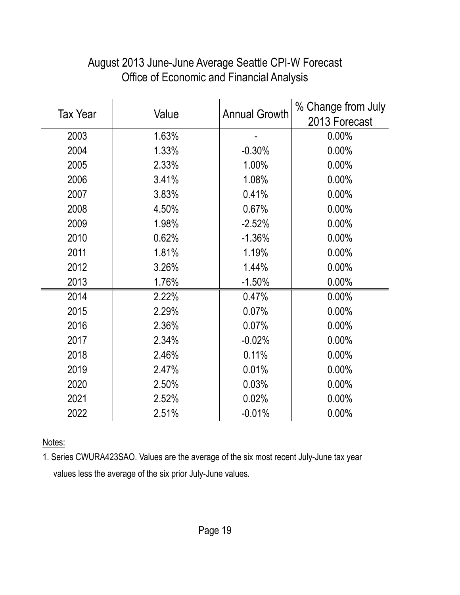|                 |       |                      | % Change from July |
|-----------------|-------|----------------------|--------------------|
| <b>Tax Year</b> | Value | <b>Annual Growth</b> | 2013 Forecast      |
| 2003            | 1.63% |                      | 0.00%              |
| 2004            | 1.33% | $-0.30%$             | 0.00%              |
| 2005            | 2.33% | 1.00%                | 0.00%              |
| 2006            | 3.41% | 1.08%                | 0.00%              |
| 2007            | 3.83% | 0.41%                | 0.00%              |
| 2008            | 4.50% | 0.67%                | 0.00%              |
| 2009            | 1.98% | $-2.52%$             | 0.00%              |
| 2010            | 0.62% | $-1.36%$             | 0.00%              |
| 2011            | 1.81% | 1.19%                | 0.00%              |
| 2012            | 3.26% | 1.44%                | 0.00%              |
| 2013            | 1.76% | $-1.50%$             | 0.00%              |
| 2014            | 2.22% | 0.47%                | 0.00%              |
| 2015            | 2.29% | 0.07%                | 0.00%              |
| 2016            | 2.36% | 0.07%                | 0.00%              |
| 2017            | 2.34% | $-0.02%$             | 0.00%              |
| 2018            | 2.46% | 0.11%                | 0.00%              |
| 2019            | 2.47% | 0.01%                | 0.00%              |
| 2020            | 2.50% | 0.03%                | 0.00%              |
| 2021            | 2.52% | 0.02%                | 0.00%              |
| 2022            | 2.51% | $-0.01%$             | 0.00%              |

#### August 2013 June-June Average Seattle CPI-W Forecast Office of Economic and Financial Analysis

Notes:

1. Series CWURA423SAO. Values are the average of the six most recent July-June tax year values less the average of the six prior July-June values.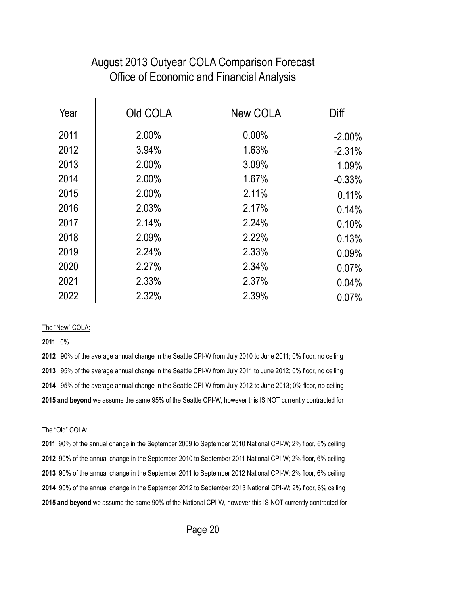#### August 2013 Outyear COLA Comparison Forecast Office of Economic and Financial Analysis

| Year | Old COLA | New COLA | Diff      |
|------|----------|----------|-----------|
| 2011 | 2.00%    | $0.00\%$ | $-2.00\%$ |
| 2012 | 3.94%    | 1.63%    | $-2.31%$  |
| 2013 | 2.00%    | 3.09%    | 1.09%     |
| 2014 | 2.00%    | 1.67%    | $-0.33%$  |
| 2015 | 2.00%    | 2.11%    | 0.11%     |
| 2016 | 2.03%    | 2.17%    | 0.14%     |
| 2017 | 2.14%    | 2.24%    | 0.10%     |
| 2018 | 2.09%    | 2.22%    | 0.13%     |
| 2019 | 2.24%    | 2.33%    | 0.09%     |
| 2020 | 2.27%    | 2.34%    | 0.07%     |
| 2021 | 2.33%    | 2.37%    | 0.04%     |
| 2022 | 2.32%    | 2.39%    | 0.07%     |

#### The "New" COLA:

0%

 90% of the average annual change in the Seattle CPI-W from July 2010 to June 2011; 0% floor, no ceiling 95% of the average annual change in the Seattle CPI-W from July 2011 to June 2012; 0% floor, no ceiling 95% of the average annual change in the Seattle CPI-W from July 2012 to June 2013; 0% floor, no ceiling **2015 and beyond** we assume the same 95% of the Seattle CPI-W, however this IS NOT currently contracted for

#### The "Old" COLA:

 90% of the annual change in the September 2009 to September 2010 National CPI-W; 2% floor, 6% ceiling 90% of the annual change in the September 2010 to September 2011 National CPI-W; 2% floor, 6% ceiling 90% of the annual change in the September 2011 to September 2012 National CPI-W; 2% floor, 6% ceiling 90% of the annual change in the September 2012 to September 2013 National CPI-W; 2% floor, 6% ceiling **2015 and beyond** we assume the same 90% of the National CPI-W, however this IS NOT currently contracted for

Page 20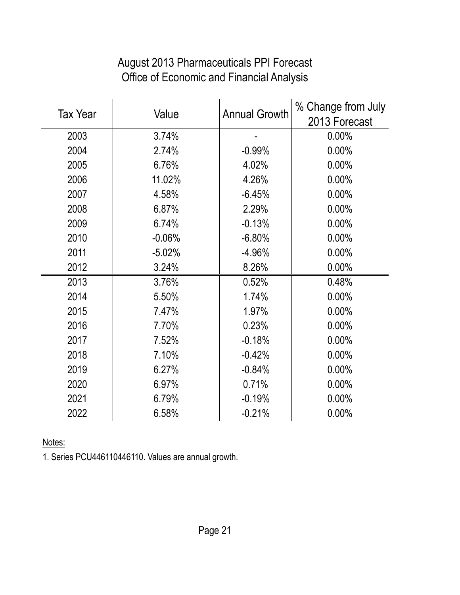| <b>Tax Year</b> | Value    | <b>Annual Growth</b> | % Change from July<br>2013 Forecast |
|-----------------|----------|----------------------|-------------------------------------|
| 2003            | 3.74%    |                      | 0.00%                               |
| 2004            | 2.74%    | $-0.99%$             | 0.00%                               |
| 2005            | 6.76%    | 4.02%                | 0.00%                               |
| 2006            | 11.02%   | 4.26%                | 0.00%                               |
| 2007            | 4.58%    | $-6.45%$             | 0.00%                               |
| 2008            | 6.87%    | 2.29%                | 0.00%                               |
| 2009            | 6.74%    | $-0.13%$             | 0.00%                               |
| 2010            | $-0.06%$ | $-6.80%$             | 0.00%                               |
| 2011            | $-5.02%$ | $-4.96%$             | 0.00%                               |
| 2012            | 3.24%    | 8.26%                | 0.00%                               |
| 2013            | 3.76%    | 0.52%                | 0.48%                               |
| 2014            | 5.50%    | 1.74%                | 0.00%                               |
| 2015            | 7.47%    | 1.97%                | 0.00%                               |
| 2016            | 7.70%    | 0.23%                | 0.00%                               |
| 2017            | 7.52%    | $-0.18%$             | 0.00%                               |
| 2018            | 7.10%    | $-0.42%$             | 0.00%                               |
| 2019            | 6.27%    | $-0.84%$             | 0.00%                               |
| 2020            | 6.97%    | 0.71%                | 0.00%                               |
| 2021            | 6.79%    | $-0.19%$             | 0.00%                               |
| 2022            | 6.58%    | $-0.21%$             | 0.00%                               |

# August 2013 Pharmaceuticals PPI Forecast Office of Economic and Financial Analysis

Notes:

1. Series PCU446110446110. Values are annual growth.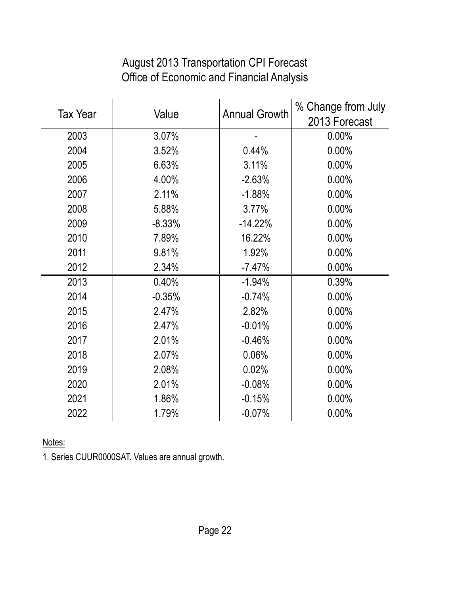| <b>Tax Year</b> | Value    | <b>Annual Growth</b> | % Change from July<br>2013 Forecast |
|-----------------|----------|----------------------|-------------------------------------|
| 2003            | 3.07%    |                      | 0.00%                               |
| 2004            | 3.52%    | 0.44%                | 0.00%                               |
| 2005            | 6.63%    | 3.11%                | 0.00%                               |
| 2006            | 4.00%    | $-2.63%$             | 0.00%                               |
| 2007            | 2.11%    | $-1.88%$             | 0.00%                               |
| 2008            | 5.88%    | 3.77%                | 0.00%                               |
| 2009            | $-8.33%$ | $-14.22%$            | 0.00%                               |
| 2010            | 7.89%    | 16.22%               | 0.00%                               |
| 2011            | 9.81%    | 1.92%                | 0.00%                               |
| 2012            | 2.34%    | $-7.47%$             | 0.00%                               |
| 2013            | 0.40%    | $-1.94%$             | 0.39%                               |
| 2014            | $-0.35%$ | $-0.74%$             | 0.00%                               |
| 2015            | 2.47%    | 2.82%                | 0.00%                               |
| 2016            | 2.47%    | $-0.01%$             | 0.00%                               |
| 2017            | 2.01%    | $-0.46%$             | 0.00%                               |
| 2018            | 2.07%    | 0.06%                | 0.00%                               |
| 2019            | 2.08%    | 0.02%                | 0.00%                               |
| 2020            | 2.01%    | $-0.08%$             | 0.00%                               |
| 2021            | 1.86%    | $-0.15%$             | 0.00%                               |
| 2022            | 1.79%    | $-0.07%$             | 0.00%                               |

# August 2013 Transportation CPI Forecast Office of Economic and Financial Analysis

Notes:

1. Series CUUR0000SAT. Values are annual growth.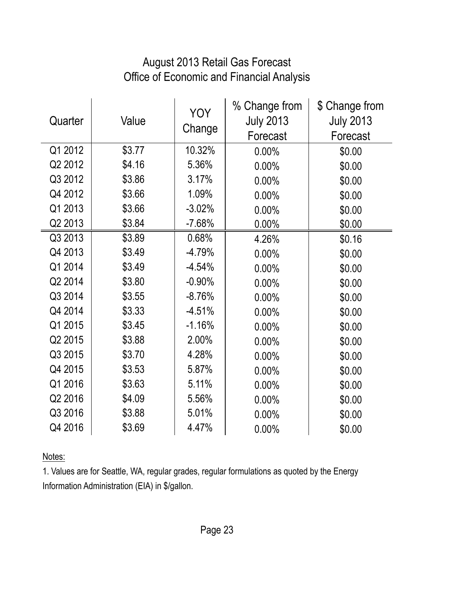#### August 2013 Retail Gas Forecast Office of Economic and Financial Analysis

| Quarter | Value  | <b>YOY</b><br>Change | % Change from<br><b>July 2013</b><br>Forecast | \$ Change from<br><b>July 2013</b><br>Forecast |
|---------|--------|----------------------|-----------------------------------------------|------------------------------------------------|
| Q1 2012 | \$3.77 | 10.32%               | 0.00%                                         | \$0.00                                         |
| Q2 2012 | \$4.16 | 5.36%                | 0.00%                                         | \$0.00                                         |
| Q3 2012 | \$3.86 | 3.17%                | 0.00%                                         | \$0.00                                         |
| Q4 2012 | \$3.66 | 1.09%                | 0.00%                                         | \$0.00                                         |
| Q1 2013 | \$3.66 | $-3.02%$             | 0.00%                                         | \$0.00                                         |
| Q2 2013 | \$3.84 | $-7.68%$             | 0.00%                                         | \$0.00                                         |
| Q3 2013 | \$3.89 | 0.68%                | 4.26%                                         | \$0.16                                         |
| Q4 2013 | \$3.49 | $-4.79%$             | 0.00%                                         | \$0.00                                         |
| Q1 2014 | \$3.49 | $-4.54%$             | 0.00%                                         | \$0.00                                         |
| Q2 2014 | \$3.80 | $-0.90%$             | 0.00%                                         | \$0.00                                         |
| Q3 2014 | \$3.55 | $-8.76%$             | 0.00%                                         | \$0.00                                         |
| Q4 2014 | \$3.33 | $-4.51%$             | 0.00%                                         | \$0.00                                         |
| Q1 2015 | \$3.45 | $-1.16%$             | 0.00%                                         | \$0.00                                         |
| Q2 2015 | \$3.88 | 2.00%                | 0.00%                                         | \$0.00                                         |
| Q3 2015 | \$3.70 | 4.28%                | 0.00%                                         | \$0.00                                         |
| Q4 2015 | \$3.53 | 5.87%                | 0.00%                                         | \$0.00                                         |
| Q1 2016 | \$3.63 | 5.11%                | 0.00%                                         | \$0.00                                         |
| Q2 2016 | \$4.09 | 5.56%                | 0.00%                                         | \$0.00                                         |
| Q3 2016 | \$3.88 | 5.01%                | 0.00%                                         | \$0.00                                         |
| Q4 2016 | \$3.69 | 4.47%                | 0.00%                                         | \$0.00                                         |

Notes:

1. Values are for Seattle, WA, regular grades, regular formulations as quoted by the Energy Information Administration (EIA) in \$/gallon.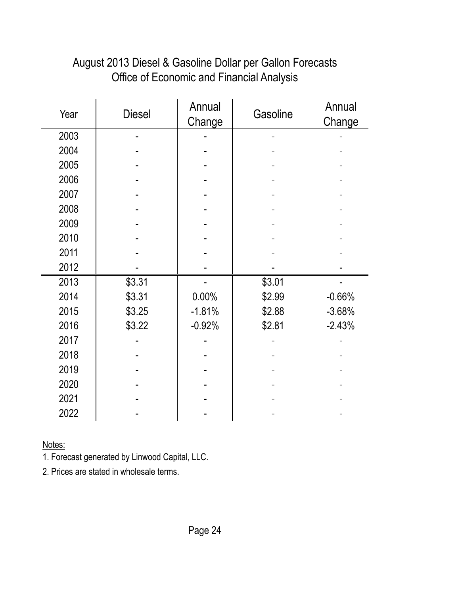| Office of Economic and Financial Analysis |               |                  |          |                  |
|-------------------------------------------|---------------|------------------|----------|------------------|
| Year                                      | <b>Diesel</b> | Annual<br>Change | Gasoline | Annual<br>Change |
| 2003                                      |               |                  |          |                  |
| 2004                                      |               |                  |          |                  |
| 2005                                      |               |                  |          |                  |
| 2006                                      |               |                  |          |                  |
| 2007                                      |               |                  |          |                  |
| 2008                                      |               |                  |          |                  |
| 2009                                      |               |                  |          |                  |
| 2010                                      |               |                  |          |                  |
| 2011                                      |               |                  |          |                  |
| 2012                                      |               |                  |          |                  |
| 2013                                      | \$3.31        |                  | \$3.01   |                  |
| 2014                                      | \$3.31        | 0.00%            | \$2.99   | $-0.66%$         |
| 2015                                      | \$3.25        | $-1.81%$         | \$2.88   | $-3.68%$         |
| 2016                                      | \$3.22        | $-0.92%$         | \$2.81   | $-2.43%$         |
| 2017                                      |               |                  |          |                  |
| 2018                                      |               |                  |          |                  |
| 2019                                      |               |                  |          |                  |
| 2020                                      |               |                  |          |                  |

### August 2013 Diesel & Gasoline Dollar per Gallon Forecasts Office of Economic and Financial Analysis

Notes:

1. Forecast generated by Linwood Capital, LLC.

2. Prices are stated in wholesale terms.

2021 | **- | - | - |** -2022 | **- | - | - |** - |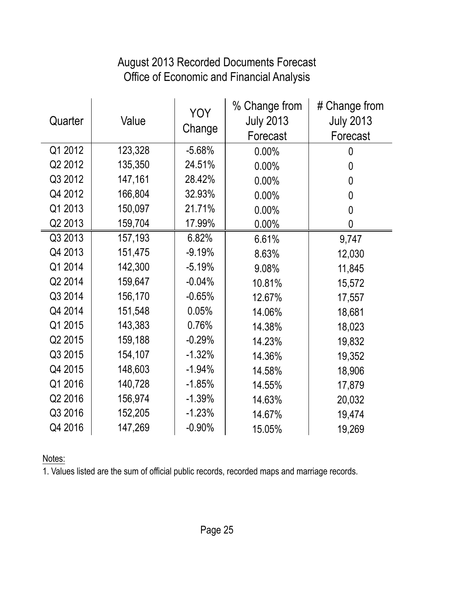#### August 2013 Recorded Documents Forecast Office of Economic and Financial Analysis

| Quarter | Value   | <b>YOY</b><br>Change | % Change from<br><b>July 2013</b><br>Forecast | # Change from<br><b>July 2013</b><br>Forecast |
|---------|---------|----------------------|-----------------------------------------------|-----------------------------------------------|
| Q1 2012 | 123,328 | $-5.68%$             | 0.00%                                         | 0                                             |
| Q2 2012 | 135,350 | 24.51%               | 0.00%                                         | 0                                             |
| Q3 2012 | 147,161 | 28.42%               | 0.00%                                         | $\mathbf 0$                                   |
| Q4 2012 | 166,804 | 32.93%               | 0.00%                                         | $\boldsymbol{0}$                              |
| Q1 2013 | 150,097 | 21.71%               | 0.00%                                         | 0                                             |
| Q2 2013 | 159,704 | 17.99%               | 0.00%                                         | $\mathbf 0$                                   |
| Q3 2013 | 157,193 | 6.82%                | 6.61%                                         | 9,747                                         |
| Q4 2013 | 151,475 | $-9.19%$             | 8.63%                                         | 12,030                                        |
| Q1 2014 | 142,300 | $-5.19%$             | 9.08%                                         | 11,845                                        |
| Q2 2014 | 159,647 | $-0.04%$             | 10.81%                                        | 15,572                                        |
| Q3 2014 | 156,170 | $-0.65%$             | 12.67%                                        | 17,557                                        |
| Q4 2014 | 151,548 | 0.05%                | 14.06%                                        | 18,681                                        |
| Q1 2015 | 143,383 | 0.76%                | 14.38%                                        | 18,023                                        |
| Q2 2015 | 159,188 | $-0.29%$             | 14.23%                                        | 19,832                                        |
| Q3 2015 | 154,107 | $-1.32%$             | 14.36%                                        | 19,352                                        |
| Q4 2015 | 148,603 | $-1.94%$             | 14.58%                                        | 18,906                                        |
| Q1 2016 | 140,728 | $-1.85%$             | 14.55%                                        | 17,879                                        |
| Q2 2016 | 156,974 | $-1.39%$             | 14.63%                                        | 20,032                                        |
| Q3 2016 | 152,205 | $-1.23%$             | 14.67%                                        | 19,474                                        |
| Q4 2016 | 147,269 | $-0.90%$             | 15.05%                                        | 19,269                                        |

Notes:

1. Values listed are the sum of official public records, recorded maps and marriage records.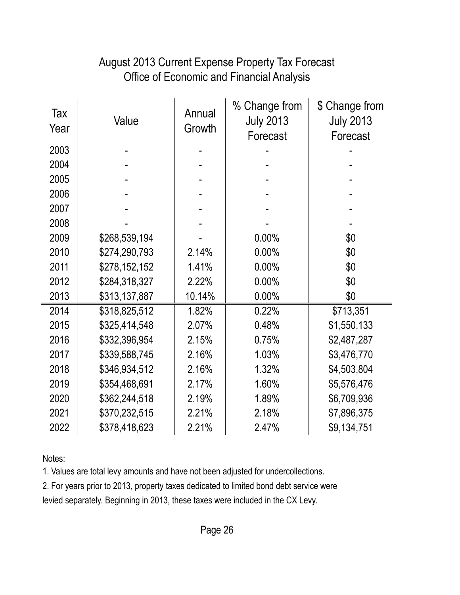#### August 2013 Current Expense Property Tax Forecast Office of Economic and Financial Analysis

| Tax<br>Year | Value         | Annual<br>Growth | % Change from<br><b>July 2013</b><br>Forecast | \$ Change from<br><b>July 2013</b><br>Forecast |
|-------------|---------------|------------------|-----------------------------------------------|------------------------------------------------|
| 2003        |               |                  |                                               |                                                |
| 2004        |               |                  |                                               |                                                |
| 2005        |               |                  |                                               |                                                |
| 2006        |               |                  |                                               |                                                |
| 2007        |               |                  |                                               |                                                |
| 2008        |               |                  |                                               |                                                |
| 2009        | \$268,539,194 |                  | 0.00%                                         | \$0                                            |
| 2010        | \$274,290,793 | 2.14%            | 0.00%                                         | \$0                                            |
| 2011        | \$278,152,152 | 1.41%            | 0.00%                                         | \$0                                            |
| 2012        | \$284,318,327 | 2.22%            | 0.00%                                         | \$0                                            |
| 2013        | \$313,137,887 | 10.14%           | 0.00%                                         | \$0                                            |
| 2014        | \$318,825,512 | 1.82%            | 0.22%                                         | \$713,351                                      |
| 2015        | \$325,414,548 | 2.07%            | 0.48%                                         | \$1,550,133                                    |
| 2016        | \$332,396,954 | 2.15%            | 0.75%                                         | \$2,487,287                                    |
| 2017        | \$339,588,745 | 2.16%            | 1.03%                                         | \$3,476,770                                    |
| 2018        | \$346,934,512 | 2.16%            | 1.32%                                         | \$4,503,804                                    |
| 2019        | \$354,468,691 | 2.17%            | 1.60%                                         | \$5,576,476                                    |
| 2020        | \$362,244,518 | 2.19%            | 1.89%                                         | \$6,709,936                                    |
| 2021        | \$370,232,515 | 2.21%            | 2.18%                                         | \$7,896,375                                    |
| 2022        | \$378,418,623 | 2.21%            | 2.47%                                         | \$9,134,751                                    |

Notes:

1. Values are total levy amounts and have not been adjusted for undercollections.

2. For years prior to 2013, property taxes dedicated to limited bond debt service were

levied separately. Beginning in 2013, these taxes were included in the CX Levy.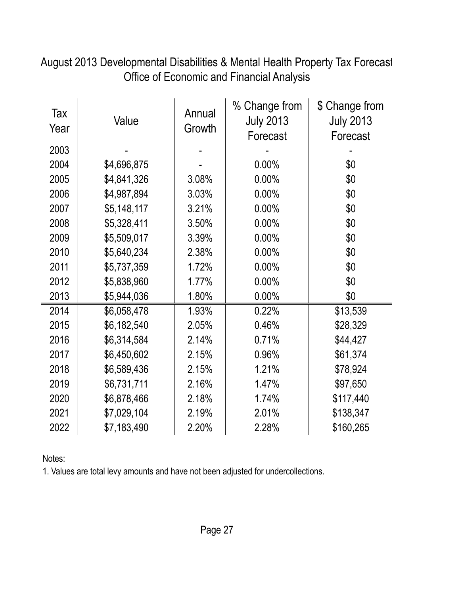Tax Year Value Annual **Growth** % Change from July 2013 Forecast \$ Change from July 2013 Forecast 2003 | - | - | - | - | 2004 | \$4,696,875 | - | 0.00% | \$0 2005 \$4,841,326 3.08% 0.00% \$0 2006 \$4,987,894 3.03% 0.00% \$0 2007 \$5,148,117 3.21% 0.00% \$0 2008 \$5,328,411 3.50% 0.00% \$0 2009 | \$5,509,017 | 3.39% | 0.00% | \$0 2010 \$5,640,234 2.38% 0.00% \$0 2011 \$5,737,359 1.72% 0.00% \$0 2012 \$5,838,960 1.77% 0.00% \$0 2013 \$5,944,036 1.80% 0.00% \$0 2014 \$6,058,478 1.93% 0.22% \$13,539 2015 \$6,182,540 2.05% 0.46% \$28,329 2016 \$6,314,584 2.14% 0.71% \$44,427 2017 \$6,450,602 2.15% 0.96% \$61,374 2018 \$6,589,436 2.15% 1.21% \$78,924 2019 \$6,731,711 2.16% 1.47% \$97,650 2020 \$6,878,466 2.18% 1.74% \$117,440 2021 \$7,029,104 2.19% 2.01% \$138,347 2022 | \$7,183,490 | 2.20% | 2.28% | \$160,265

August 2013 Developmental Disabilities & Mental Health Property Tax Forecast Office of Economic and Financial Analysis

Notes: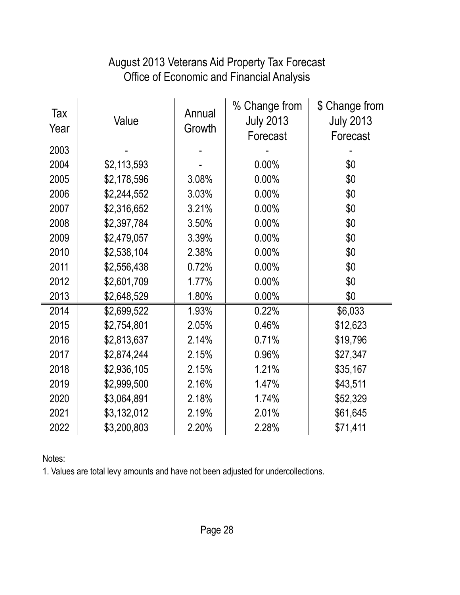#### Office of Economic and Financial Analysis August 2013 Veterans Aid Property Tax Forecast

| Tax<br>Year | Value       | Annual<br>Growth | % Change from<br><b>July 2013</b><br>Forecast | \$ Change from<br><b>July 2013</b><br>Forecast |
|-------------|-------------|------------------|-----------------------------------------------|------------------------------------------------|
| 2003        |             |                  |                                               |                                                |
| 2004        | \$2,113,593 |                  | 0.00%                                         | \$0                                            |
| 2005        | \$2,178,596 | 3.08%            | 0.00%                                         | \$0                                            |
| 2006        | \$2,244,552 | 3.03%            | 0.00%                                         | \$0                                            |
| 2007        | \$2,316,652 | 3.21%            | 0.00%                                         | \$0                                            |
| 2008        | \$2,397,784 | 3.50%            | 0.00%                                         | \$0                                            |
| 2009        | \$2,479,057 | 3.39%            | 0.00%                                         | \$0                                            |
| 2010        | \$2,538,104 | 2.38%            | 0.00%                                         | \$0                                            |
| 2011        | \$2,556,438 | 0.72%            | 0.00%                                         | \$0                                            |
| 2012        | \$2,601,709 | 1.77%            | 0.00%                                         | \$0                                            |
| 2013        | \$2,648,529 | 1.80%            | 0.00%                                         | \$0                                            |
| 2014        | \$2,699,522 | 1.93%            | 0.22%                                         | \$6,033                                        |
| 2015        | \$2,754,801 | 2.05%            | 0.46%                                         | \$12,623                                       |
| 2016        | \$2,813,637 | 2.14%            | 0.71%                                         | \$19,796                                       |
| 2017        | \$2,874,244 | 2.15%            | 0.96%                                         | \$27,347                                       |
| 2018        | \$2,936,105 | 2.15%            | 1.21%                                         | \$35,167                                       |
| 2019        | \$2,999,500 | 2.16%            | 1.47%                                         | \$43,511                                       |
| 2020        | \$3,064,891 | 2.18%            | 1.74%                                         | \$52,329                                       |
| 2021        | \$3,132,012 | 2.19%            | 2.01%                                         | \$61,645                                       |
| 2022        | \$3,200,803 | 2.20%            | 2.28%                                         | \$71,411                                       |

Notes: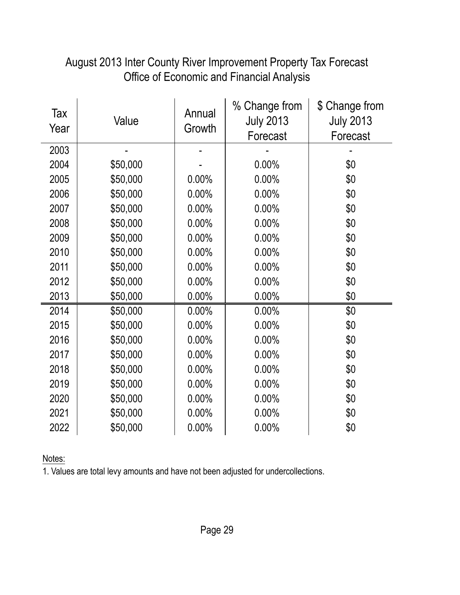| Tax<br>Year | Value    | Annual<br>Growth | % Change from<br><b>July 2013</b><br>Forecast | \$ Change from<br><b>July 2013</b><br>Forecast |
|-------------|----------|------------------|-----------------------------------------------|------------------------------------------------|
| 2003        |          |                  |                                               |                                                |
| 2004        | \$50,000 |                  | 0.00%                                         | \$0                                            |
| 2005        | \$50,000 | 0.00%            | 0.00%                                         | \$0                                            |
| 2006        | \$50,000 | 0.00%            | 0.00%                                         | \$0                                            |
| 2007        | \$50,000 | 0.00%            | 0.00%                                         | \$0                                            |
| 2008        | \$50,000 | 0.00%            | 0.00%                                         | \$0                                            |
| 2009        | \$50,000 | 0.00%            | 0.00%                                         | \$0                                            |
| 2010        | \$50,000 | $0.00\%$         | 0.00%                                         | \$0                                            |
| 2011        | \$50,000 | 0.00%            | 0.00%                                         | \$0                                            |
| 2012        | \$50,000 | 0.00%            | 0.00%                                         | \$0                                            |
| 2013        | \$50,000 | 0.00%            | 0.00%                                         | \$0                                            |
| 2014        | \$50,000 | 0.00%            | 0.00%                                         | \$0                                            |
| 2015        | \$50,000 | 0.00%            | 0.00%                                         | \$0                                            |
| 2016        | \$50,000 | 0.00%            | 0.00%                                         | \$0                                            |
| 2017        | \$50,000 | 0.00%            | 0.00%                                         | \$0                                            |
| 2018        | \$50,000 | 0.00%            | 0.00%                                         | \$0                                            |
| 2019        | \$50,000 | 0.00%            | 0.00%                                         | \$0                                            |
| 2020        | \$50,000 | 0.00%            | 0.00%                                         | \$0                                            |
| 2021        | \$50,000 | 0.00%            | 0.00%                                         | \$0                                            |
| 2022        | \$50,000 | 0.00%            | 0.00%                                         | \$0                                            |

#### August 2013 Inter County River Improvement Property Tax Forecast Office of Economic and Financial Analysis

Notes: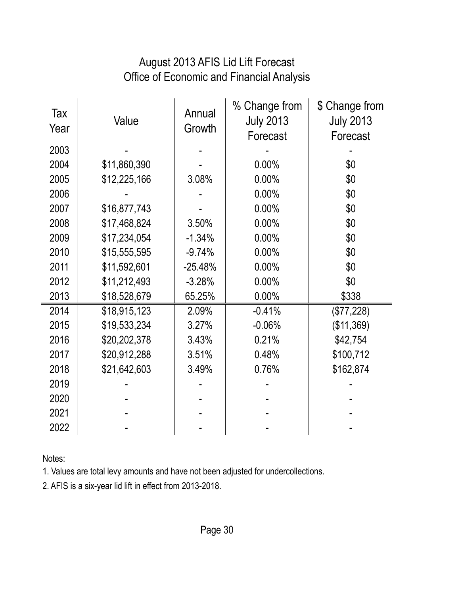#### August 2013 AFIS Lid Lift Forecast Office of Economic and Financial Analysis

| Tax<br>Year | Value        | Annual<br>Growth | % Change from<br><b>July 2013</b><br>Forecast | \$ Change from<br><b>July 2013</b><br>Forecast |
|-------------|--------------|------------------|-----------------------------------------------|------------------------------------------------|
| 2003        |              |                  |                                               |                                                |
| 2004        | \$11,860,390 |                  | 0.00%                                         | \$0                                            |
| 2005        | \$12,225,166 | 3.08%            | 0.00%                                         | \$0                                            |
| 2006        |              |                  | 0.00%                                         | \$0                                            |
| 2007        | \$16,877,743 |                  | 0.00%                                         | \$0                                            |
| 2008        | \$17,468,824 | 3.50%            | 0.00%                                         | \$0                                            |
| 2009        | \$17,234,054 | $-1.34%$         | 0.00%                                         | \$0                                            |
| 2010        | \$15,555,595 | $-9.74%$         | 0.00%                                         | \$0                                            |
| 2011        | \$11,592,601 | $-25.48%$        | 0.00%                                         | \$0                                            |
| 2012        | \$11,212,493 | $-3.28%$         | 0.00%                                         | \$0                                            |
| 2013        | \$18,528,679 | 65.25%           | 0.00%                                         | \$338                                          |
| 2014        | \$18,915,123 | 2.09%            | $-0.41%$                                      | (\$77,228)                                     |
| 2015        | \$19,533,234 | 3.27%            | $-0.06%$                                      | (\$11,369)                                     |
| 2016        | \$20,202,378 | 3.43%            | 0.21%                                         | \$42,754                                       |
| 2017        | \$20,912,288 | 3.51%            | 0.48%                                         | \$100,712                                      |
| 2018        | \$21,642,603 | 3.49%            | 0.76%                                         | \$162,874                                      |
| 2019        |              |                  |                                               |                                                |
| 2020        |              |                  |                                               |                                                |
| 2021        |              |                  |                                               |                                                |
| 2022        |              |                  |                                               |                                                |

Notes:

1. Values are total levy amounts and have not been adjusted for undercollections.

2. AFIS is a six-year lid lift in effect from 2013-2018.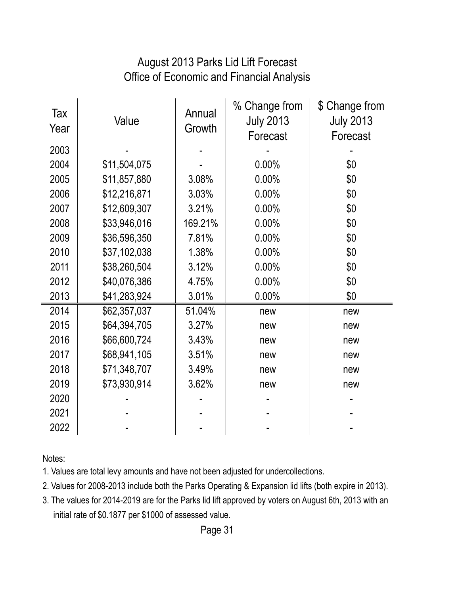#### Office of Economic and Financial Analysis August 2013 Parks Lid Lift Forecast

| Tax<br>Year | Value        | Annual<br>Growth | % Change from<br><b>July 2013</b><br>Forecast | \$ Change from<br><b>July 2013</b><br>Forecast |
|-------------|--------------|------------------|-----------------------------------------------|------------------------------------------------|
| 2003        |              |                  |                                               |                                                |
| 2004        | \$11,504,075 |                  | 0.00%                                         | \$0                                            |
| 2005        | \$11,857,880 | 3.08%            | 0.00%                                         | \$0                                            |
| 2006        | \$12,216,871 | 3.03%            | 0.00%                                         | \$0                                            |
| 2007        | \$12,609,307 | 3.21%            | 0.00%                                         | \$0                                            |
| 2008        | \$33,946,016 | 169.21%          | 0.00%                                         | \$0                                            |
| 2009        | \$36,596,350 | 7.81%            | 0.00%                                         | \$0                                            |
| 2010        | \$37,102,038 | 1.38%            | 0.00%                                         | \$0                                            |
| 2011        | \$38,260,504 | 3.12%            | 0.00%                                         | \$0                                            |
| 2012        | \$40,076,386 | 4.75%            | 0.00%                                         | \$0                                            |
| 2013        | \$41,283,924 | 3.01%            | $0.00\%$                                      | \$0                                            |
| 2014        | \$62,357,037 | 51.04%           | new                                           | new                                            |
| 2015        | \$64,394,705 | 3.27%            | new                                           | new                                            |
| 2016        | \$66,600,724 | 3.43%            | new                                           | new                                            |
| 2017        | \$68,941,105 | 3.51%            | new                                           | new                                            |
| 2018        | \$71,348,707 | 3.49%            | new                                           | new                                            |
| 2019        | \$73,930,914 | 3.62%            | new                                           | new                                            |
| 2020        |              |                  |                                               |                                                |
| 2021        |              |                  |                                               |                                                |
| 2022        |              |                  |                                               |                                                |

Notes:

1. Values are total levy amounts and have not been adjusted for undercollections.

2. Values for 2008-2013 include both the Parks Operating & Expansion lid lifts (both expire in 2013).

3. The values for 2014-2019 are for the Parks lid lift approved by voters on August 6th, 2013 with an initial rate of \$0.1877 per \$1000 of assessed value.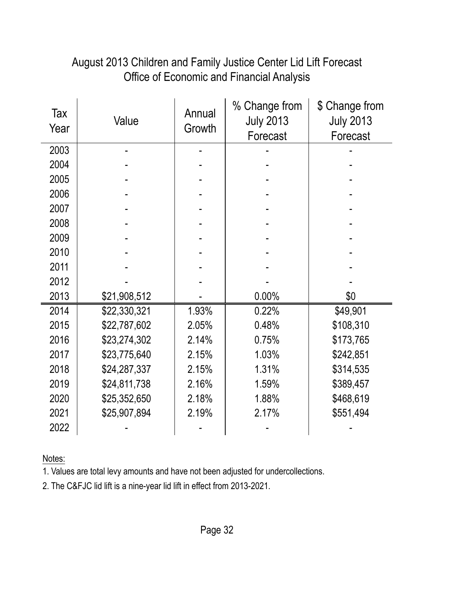#### August 2013 Children and Family Justice Center Lid Lift Forecast Office of Economic and Financial Analysis

| Tax<br>Year | Value        | Annual<br>Growth | % Change from<br><b>July 2013</b><br>Forecast | \$ Change from<br><b>July 2013</b><br>Forecast |
|-------------|--------------|------------------|-----------------------------------------------|------------------------------------------------|
| 2003        |              |                  |                                               |                                                |
| 2004        |              |                  |                                               |                                                |
| 2005        |              |                  |                                               |                                                |
| 2006        |              |                  |                                               |                                                |
| 2007        |              |                  |                                               |                                                |
| 2008        |              |                  |                                               |                                                |
| 2009        |              |                  |                                               |                                                |
| 2010        |              |                  |                                               |                                                |
| 2011        |              |                  |                                               |                                                |
| 2012        |              |                  |                                               |                                                |
| 2013        | \$21,908,512 |                  | 0.00%                                         | \$0                                            |
| 2014        | \$22,330,321 | 1.93%            | 0.22%                                         | \$49,901                                       |
| 2015        | \$22,787,602 | 2.05%            | 0.48%                                         | \$108,310                                      |
| 2016        | \$23,274,302 | 2.14%            | 0.75%                                         | \$173,765                                      |
| 2017        | \$23,775,640 | 2.15%            | 1.03%                                         | \$242,851                                      |
| 2018        | \$24,287,337 | 2.15%            | 1.31%                                         | \$314,535                                      |
| 2019        | \$24,811,738 | 2.16%            | 1.59%                                         | \$389,457                                      |
| 2020        | \$25,352,650 | 2.18%            | 1.88%                                         | \$468,619                                      |
| 2021        | \$25,907,894 | 2.19%            | 2.17%                                         | \$551,494                                      |
| 2022        |              |                  |                                               |                                                |

Notes:

1. Values are total levy amounts and have not been adjusted for undercollections.

2. The C&FJC lid lift is a nine-year lid lift in effect from 2013-2021.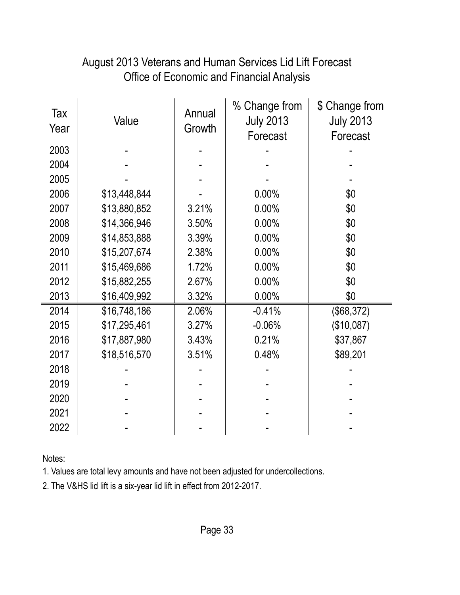| August 2013 Veterans and Human Services Lid Lift Forecast |
|-----------------------------------------------------------|
| <b>Office of Economic and Financial Analysis</b>          |

| Tax<br>Year | Value        | Annual<br>Growth | % Change from<br><b>July 2013</b><br>Forecast | \$ Change from<br><b>July 2013</b><br>Forecast |
|-------------|--------------|------------------|-----------------------------------------------|------------------------------------------------|
| 2003        |              |                  |                                               |                                                |
| 2004        |              |                  |                                               |                                                |
| 2005        |              |                  |                                               |                                                |
| 2006        | \$13,448,844 |                  | 0.00%                                         | \$0                                            |
| 2007        | \$13,880,852 | 3.21%            | 0.00%                                         | \$0                                            |
| 2008        | \$14,366,946 | 3.50%            | 0.00%                                         | \$0                                            |
| 2009        | \$14,853,888 | 3.39%            | 0.00%                                         | \$0                                            |
| 2010        | \$15,207,674 | 2.38%            | 0.00%                                         | \$0                                            |
| 2011        | \$15,469,686 | 1.72%            | 0.00%                                         | \$0                                            |
| 2012        | \$15,882,255 | 2.67%            | 0.00%                                         | \$0                                            |
| 2013        | \$16,409,992 | 3.32%            | 0.00%                                         | \$0                                            |
| 2014        | \$16,748,186 | 2.06%            | $-0.41%$                                      | (\$68,372)                                     |
| 2015        | \$17,295,461 | 3.27%            | $-0.06%$                                      | (\$10,087)                                     |
| 2016        | \$17,887,980 | 3.43%            | 0.21%                                         | \$37,867                                       |
| 2017        | \$18,516,570 | 3.51%            | 0.48%                                         | \$89,201                                       |
| 2018        |              |                  |                                               |                                                |
| 2019        |              |                  |                                               |                                                |
| 2020        |              |                  |                                               |                                                |
| 2021        |              |                  |                                               |                                                |
| 2022        |              |                  |                                               |                                                |

Notes:

1. Values are total levy amounts and have not been adjusted for undercollections.

2. The V&HS lid lift is a six-year lid lift in effect from 2012-2017.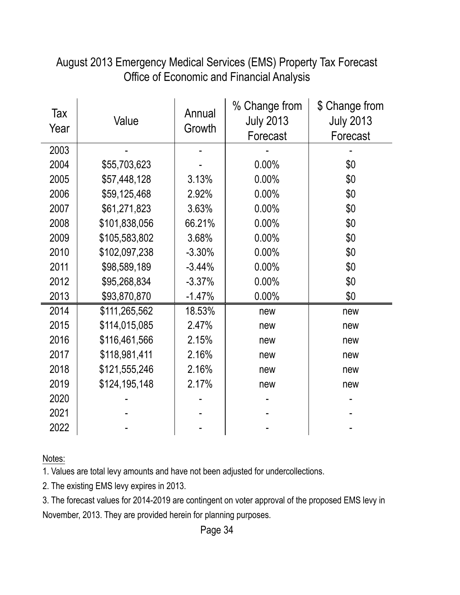| August 2013 Emergency Medical Services (EMS) Property Tax Forecast |
|--------------------------------------------------------------------|
| Office of Economic and Financial Analysis                          |

| Tax<br>Year | Value         | Annual<br>Growth | % Change from<br><b>July 2013</b><br>Forecast | \$ Change from<br><b>July 2013</b><br>Forecast |
|-------------|---------------|------------------|-----------------------------------------------|------------------------------------------------|
| 2003        |               |                  |                                               |                                                |
| 2004        | \$55,703,623  |                  | 0.00%                                         | \$0                                            |
| 2005        | \$57,448,128  | 3.13%            | 0.00%                                         | \$0                                            |
| 2006        | \$59,125,468  | 2.92%            | 0.00%                                         | \$0                                            |
| 2007        | \$61,271,823  | 3.63%            | 0.00%                                         | \$0                                            |
| 2008        | \$101,838,056 | 66.21%           | 0.00%                                         | \$0                                            |
| 2009        | \$105,583,802 | 3.68%            | 0.00%                                         | \$0                                            |
| 2010        | \$102,097,238 | $-3.30%$         | 0.00%                                         | \$0                                            |
| 2011        | \$98,589,189  | $-3.44%$         | 0.00%                                         | \$0                                            |
| 2012        | \$95,268,834  | $-3.37%$         | 0.00%                                         | \$0                                            |
| 2013        | \$93,870,870  | $-1.47%$         | 0.00%                                         | \$0                                            |
| 2014        | \$111,265,562 | 18.53%           | new                                           | new                                            |
| 2015        | \$114,015,085 | 2.47%            | new                                           | new                                            |
| 2016        | \$116,461,566 | 2.15%            | new                                           | new                                            |
| 2017        | \$118,981,411 | 2.16%            | new                                           | new                                            |
| 2018        | \$121,555,246 | 2.16%            | new                                           | new                                            |
| 2019        | \$124,195,148 | 2.17%            | new                                           | new                                            |
| 2020        |               |                  |                                               |                                                |
| 2021        |               |                  |                                               |                                                |
| 2022        |               |                  |                                               |                                                |

Notes:

1. Values are total levy amounts and have not been adjusted for undercollections.

2. The existing EMS levy expires in 2013.

3. The forecast values for 2014-2019 are contingent on voter approval of the proposed EMS levy in November, 2013. They are provided herein for planning purposes.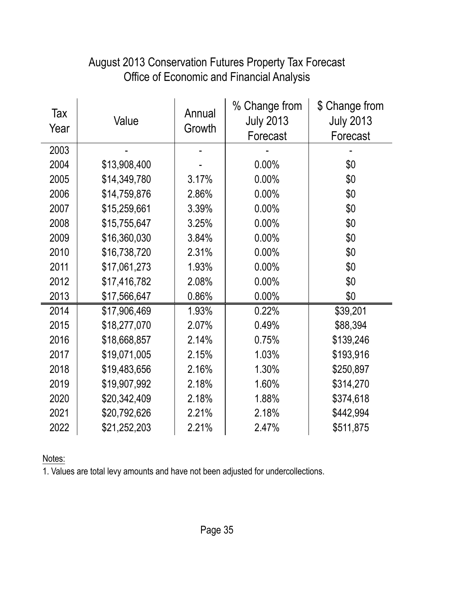#### Tax Year Value Annual **Growth** % Change from July 2013 Forecast \$ Change from July 2013 Forecast 2003 | - | - | - | - | 2004 \$13,908,400 - 0.00% \$0 2005 \$14,349,780 3.17% 0.00% \$0 2006 \$14,759,876 2.86% 0.00% \$0 2007 \$15,259,661 3.39% 0.00% \$0 2008 \$15,755,647 3.25% 0.00% \$0 2009 \, \$16,360,030 \, 3.84% \, 0.00% \, \$0 2010 \$16,738,720 2.31% 0.00% \$0 2011 | \$17,061,273 | 1.93% | 0.00% | \$0 2012 \$17,416,782 2.08% 0.00% \$0 2013 | \$17,566,647 | 0.86% | 0.00% | \$0 2014 \$17,906,469 1.93% 0.22% \$39,201 2015 \$18,277,070 2.07% 0.49% \$88,394 2016 | \$18,668,857 | 2.14% | 0.75% | \$139,246 2017 | \$19,071,005 | 2.15% | 1.03% | \$193,916 2018 | \$19,483,656 | 2.16% | 1.30% | \$250,897 2019 \$19,907,992 2.18% 1.60% \$314,270 2020 \$20,342,409 2.18% 1.88% \$374,618 2021 \$20,792,626 2.21% 2.18% \$442,994 2022 \$21,252,203 2.21% 2.47% \$511,875

#### Office of Economic and Financial Analysis August 2013 Conservation Futures Property Tax Forecast

Notes: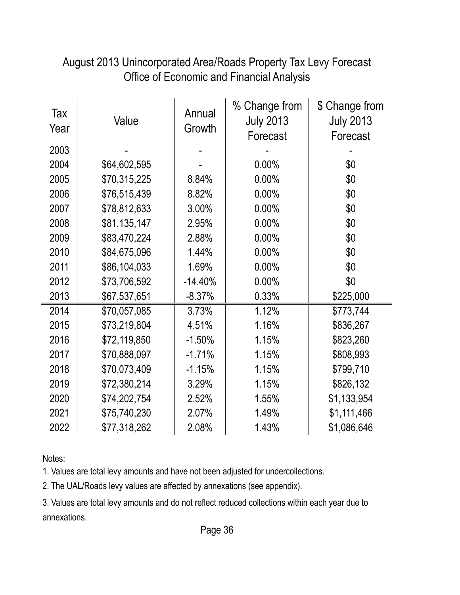| Tax<br>Year | Value        | Annual<br>Growth | % Change from<br><b>July 2013</b><br>Forecast | \$ Change from<br><b>July 2013</b><br>Forecast |
|-------------|--------------|------------------|-----------------------------------------------|------------------------------------------------|
| 2003        |              |                  |                                               |                                                |
| 2004        | \$64,602,595 |                  | 0.00%                                         | \$0                                            |
| 2005        | \$70,315,225 | 8.84%            | 0.00%                                         | \$0                                            |
| 2006        | \$76,515,439 | 8.82%            | 0.00%                                         | \$0                                            |
| 2007        | \$78,812,633 | 3.00%            | 0.00%                                         | \$0                                            |
| 2008        | \$81,135,147 | 2.95%            | 0.00%                                         | \$0                                            |
| 2009        | \$83,470,224 | 2.88%            | 0.00%                                         | \$0                                            |
| 2010        | \$84,675,096 | 1.44%            | 0.00%                                         | \$0                                            |
| 2011        | \$86,104,033 | 1.69%            | 0.00%                                         | \$0                                            |
| 2012        | \$73,706,592 | $-14.40%$        | 0.00%                                         | \$0                                            |
| 2013        | \$67,537,651 | $-8.37%$         | 0.33%                                         | \$225,000                                      |
| 2014        | \$70,057,085 | 3.73%            | 1.12%                                         | \$773,744                                      |
| 2015        | \$73,219,804 | 4.51%            | 1.16%                                         | \$836,267                                      |
| 2016        | \$72,119,850 | $-1.50%$         | 1.15%                                         | \$823,260                                      |
| 2017        | \$70,888,097 | $-1.71%$         | 1.15%                                         | \$808,993                                      |
| 2018        | \$70,073,409 | $-1.15%$         | 1.15%                                         | \$799,710                                      |
| 2019        | \$72,380,214 | 3.29%            | 1.15%                                         | \$826,132                                      |
| 2020        | \$74,202,754 | 2.52%            | 1.55%                                         | \$1,133,954                                    |
| 2021        | \$75,740,230 | 2.07%            | 1.49%                                         | \$1,111,466                                    |
| 2022        | \$77,318,262 | 2.08%            | 1.43%                                         | \$1,086,646                                    |

#### August 2013 Unincorporated Area/Roads Property Tax Levy Forecast Office of Economic and Financial Analysis

Notes:

1. Values are total levy amounts and have not been adjusted for undercollections.

2. The UAL/Roads levy values are affected by annexations (see appendix).

3. Values are total levy amounts and do not reflect reduced collections within each year due to annexations.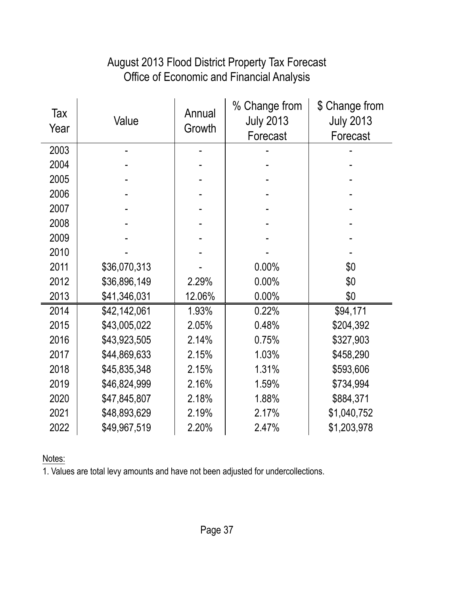#### Office of Economic and Financial Analysis August 2013 Flood District Property Tax Forecast

| Tax<br>Year | Value        | Annual<br>Growth | % Change from<br><b>July 2013</b><br>Forecast | \$ Change from<br><b>July 2013</b><br>Forecast |
|-------------|--------------|------------------|-----------------------------------------------|------------------------------------------------|
| 2003        |              |                  |                                               |                                                |
| 2004        |              |                  |                                               |                                                |
| 2005        |              |                  |                                               |                                                |
| 2006        |              |                  |                                               |                                                |
| 2007        |              |                  |                                               |                                                |
| 2008        |              |                  |                                               |                                                |
| 2009        |              |                  |                                               |                                                |
| 2010        |              |                  |                                               |                                                |
| 2011        | \$36,070,313 |                  | 0.00%                                         | \$0                                            |
| 2012        | \$36,896,149 | 2.29%            | 0.00%                                         | \$0                                            |
| 2013        | \$41,346,031 | 12.06%           | 0.00%                                         | \$0                                            |
| 2014        | \$42,142,061 | 1.93%            | 0.22%                                         | \$94,171                                       |
| 2015        | \$43,005,022 | 2.05%            | 0.48%                                         | \$204,392                                      |
| 2016        | \$43,923,505 | 2.14%            | 0.75%                                         | \$327,903                                      |
| 2017        | \$44,869,633 | 2.15%            | 1.03%                                         | \$458,290                                      |
| 2018        | \$45,835,348 | 2.15%            | 1.31%                                         | \$593,606                                      |
| 2019        | \$46,824,999 | 2.16%            | 1.59%                                         | \$734,994                                      |
| 2020        | \$47,845,807 | 2.18%            | 1.88%                                         | \$884,371                                      |
| 2021        | \$48,893,629 | 2.19%            | 2.17%                                         | \$1,040,752                                    |
| 2022        | \$49,967,519 | 2.20%            | 2.47%                                         | \$1,203,978                                    |

Notes: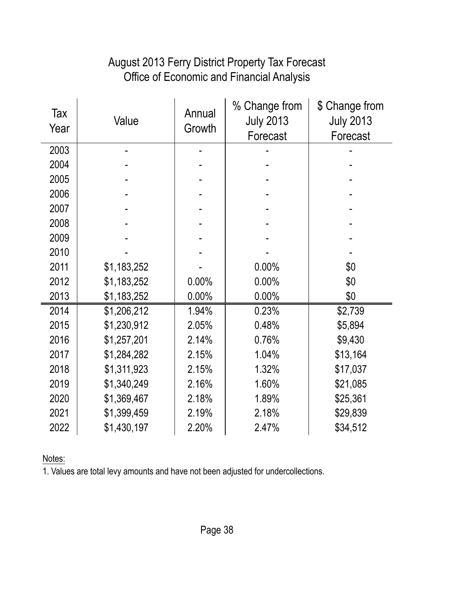#### Office of Economic and Financial Analysis August 2013 Ferry District Property Tax Forecast

| Tax<br>Year | Value       | Annual<br>Growth | % Change from<br><b>July 2013</b><br>Forecast | \$ Change from<br><b>July 2013</b><br>Forecast |
|-------------|-------------|------------------|-----------------------------------------------|------------------------------------------------|
| 2003        |             |                  |                                               |                                                |
| 2004        |             |                  |                                               |                                                |
| 2005        |             |                  |                                               |                                                |
| 2006        |             |                  |                                               |                                                |
| 2007        |             |                  |                                               |                                                |
| 2008        |             |                  |                                               |                                                |
| 2009        |             |                  |                                               |                                                |
| 2010        |             |                  |                                               |                                                |
| 2011        | \$1,183,252 |                  | 0.00%                                         | \$0                                            |
| 2012        | \$1,183,252 | 0.00%            | 0.00%                                         | \$0                                            |
| 2013        | \$1,183,252 | 0.00%            | 0.00%                                         | \$0                                            |
| 2014        | \$1,206,212 | 1.94%            | 0.23%                                         | \$2,739                                        |
| 2015        | \$1,230,912 | 2.05%            | 0.48%                                         | \$5,894                                        |
| 2016        | \$1,257,201 | 2.14%            | 0.76%                                         | \$9,430                                        |
| 2017        | \$1,284,282 | 2.15%            | 1.04%                                         | \$13,164                                       |
| 2018        | \$1,311,923 | 2.15%            | 1.32%                                         | \$17,037                                       |
| 2019        | \$1,340,249 | 2.16%            | 1.60%                                         | \$21,085                                       |
| 2020        | \$1,369,467 | 2.18%            | 1.89%                                         | \$25,361                                       |
| 2021        | \$1,399,459 | 2.19%            | 2.18%                                         | \$29,839                                       |
| 2022        | \$1,430,197 | 2.20%            | 2.47%                                         | \$34,512                                       |

Notes: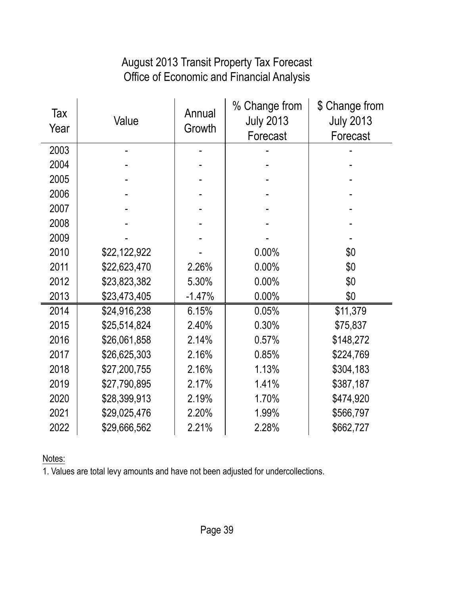#### Office of Economic and Financial Analysis August 2013 Transit Property Tax Forecast

| Tax<br>Year | Value        | Annual<br>Growth | % Change from<br><b>July 2013</b><br>Forecast | \$ Change from<br><b>July 2013</b><br>Forecast |
|-------------|--------------|------------------|-----------------------------------------------|------------------------------------------------|
| 2003        |              |                  |                                               |                                                |
| 2004        |              |                  |                                               |                                                |
| 2005        |              |                  |                                               |                                                |
| 2006        |              |                  |                                               |                                                |
| 2007        |              |                  |                                               |                                                |
| 2008        |              |                  |                                               |                                                |
| 2009        |              |                  |                                               |                                                |
| 2010        | \$22,122,922 |                  | 0.00%                                         | \$0                                            |
| 2011        | \$22,623,470 | 2.26%            | 0.00%                                         | \$0                                            |
| 2012        | \$23,823,382 | 5.30%            | 0.00%                                         | \$0                                            |
| 2013        | \$23,473,405 | $-1.47%$         | 0.00%                                         | \$0                                            |
| 2014        | \$24,916,238 | 6.15%            | 0.05%                                         | \$11,379                                       |
| 2015        | \$25,514,824 | 2.40%            | 0.30%                                         | \$75,837                                       |
| 2016        | \$26,061,858 | 2.14%            | 0.57%                                         | \$148,272                                      |
| 2017        | \$26,625,303 | 2.16%            | 0.85%                                         | \$224,769                                      |
| 2018        | \$27,200,755 | 2.16%            | 1.13%                                         | \$304,183                                      |
| 2019        | \$27,790,895 | 2.17%            | 1.41%                                         | \$387,187                                      |
| 2020        | \$28,399,913 | 2.19%            | 1.70%                                         | \$474,920                                      |
| 2021        | \$29,025,476 | 2.20%            | 1.99%                                         | \$566,797                                      |
| 2022        | \$29,666,562 | 2.21%            | 2.28%                                         | \$662,727                                      |

Notes: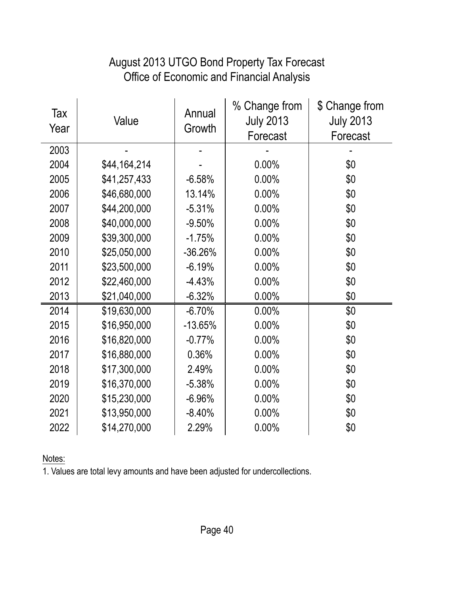#### August 2013 UTGO Bond Property Tax Forecast Office of Economic and Financial Analysis

| Tax<br>Year | Value        | Annual<br>Growth | % Change from<br><b>July 2013</b><br>Forecast | \$ Change from<br><b>July 2013</b><br>Forecast |
|-------------|--------------|------------------|-----------------------------------------------|------------------------------------------------|
| 2003        |              |                  |                                               |                                                |
| 2004        | \$44,164,214 |                  | 0.00%                                         | \$0                                            |
| 2005        | \$41,257,433 | $-6.58%$         | 0.00%                                         | \$0                                            |
| 2006        | \$46,680,000 | 13.14%           | 0.00%                                         | \$0                                            |
| 2007        | \$44,200,000 | $-5.31%$         | 0.00%                                         | \$0                                            |
| 2008        | \$40,000,000 | $-9.50%$         | 0.00%                                         | \$0                                            |
| 2009        | \$39,300,000 | $-1.75%$         | 0.00%                                         | \$0                                            |
| 2010        | \$25,050,000 | $-36.26%$        | 0.00%                                         | \$0                                            |
| 2011        | \$23,500,000 | $-6.19%$         | 0.00%                                         | \$0                                            |
| 2012        | \$22,460,000 | $-4.43%$         | 0.00%                                         | \$0                                            |
| 2013        | \$21,040,000 | $-6.32%$         | 0.00%                                         | \$0                                            |
| 2014        | \$19,630,000 | $-6.70%$         | 0.00%                                         | \$0                                            |
| 2015        | \$16,950,000 | $-13.65%$        | 0.00%                                         | \$0                                            |
| 2016        | \$16,820,000 | $-0.77%$         | 0.00%                                         | \$0                                            |
| 2017        | \$16,880,000 | 0.36%            | 0.00%                                         | \$0                                            |
| 2018        | \$17,300,000 | 2.49%            | 0.00%                                         | \$0                                            |
| 2019        | \$16,370,000 | $-5.38%$         | 0.00%                                         | \$0                                            |
| 2020        | \$15,230,000 | $-6.96%$         | 0.00%                                         | \$0                                            |
| 2021        | \$13,950,000 | $-8.40%$         | 0.00%                                         | \$0                                            |
| 2022        | \$14,270,000 | 2.29%            | 0.00%                                         | \$0                                            |

Notes: